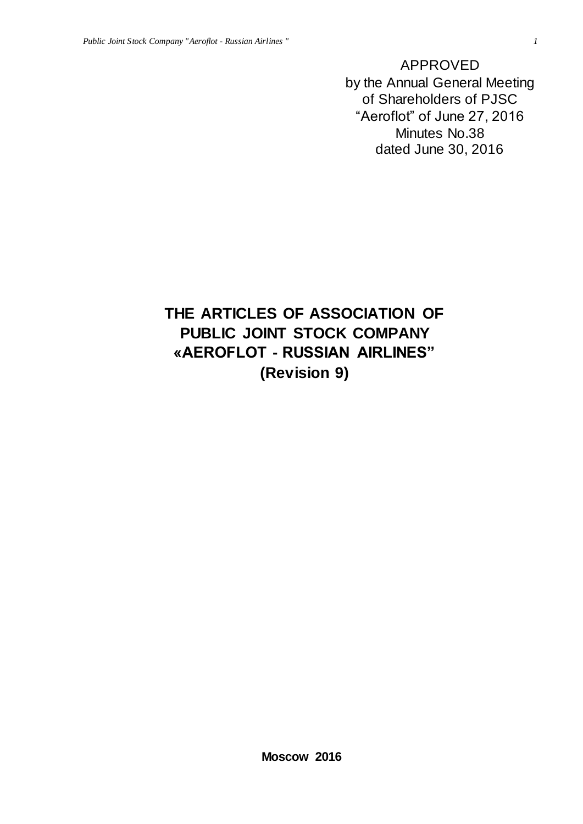APPROVED by the Annual General Meeting of Shareholders of PJSC "Aeroflot" of June 27, 2016 Minutes No.38 dated June 30, 2016

# **THE ARTICLES OF ASSOCIATION OF PUBLIC JOINT STOCK COMPANY «AEROFLOT - RUSSIAN AIRLINES" (Revision 9)**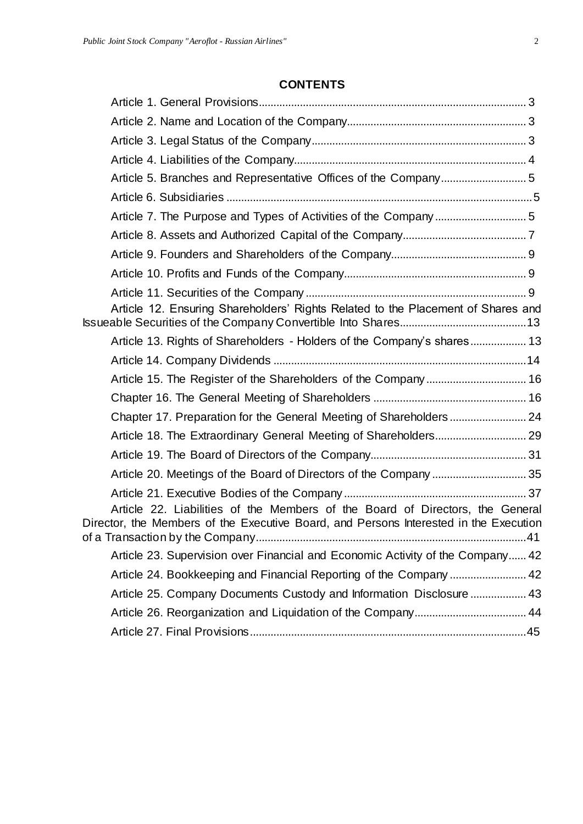## **CONTENTS**

| Article 12. Ensuring Shareholders' Rights Related to the Placement of Shares and                                                                                       |  |
|------------------------------------------------------------------------------------------------------------------------------------------------------------------------|--|
| Article 13. Rights of Shareholders - Holders of the Company's shares 13                                                                                                |  |
|                                                                                                                                                                        |  |
| Article 15. The Register of the Shareholders of the Company 16                                                                                                         |  |
|                                                                                                                                                                        |  |
|                                                                                                                                                                        |  |
|                                                                                                                                                                        |  |
|                                                                                                                                                                        |  |
|                                                                                                                                                                        |  |
|                                                                                                                                                                        |  |
| Article 22. Liabilities of the Members of the Board of Directors, the General<br>Director, the Members of the Executive Board, and Persons Interested in the Execution |  |
| Article 23. Supervision over Financial and Economic Activity of the Company 42                                                                                         |  |
|                                                                                                                                                                        |  |
| Article 25. Company Documents Custody and Information Disclosure  43                                                                                                   |  |
|                                                                                                                                                                        |  |
|                                                                                                                                                                        |  |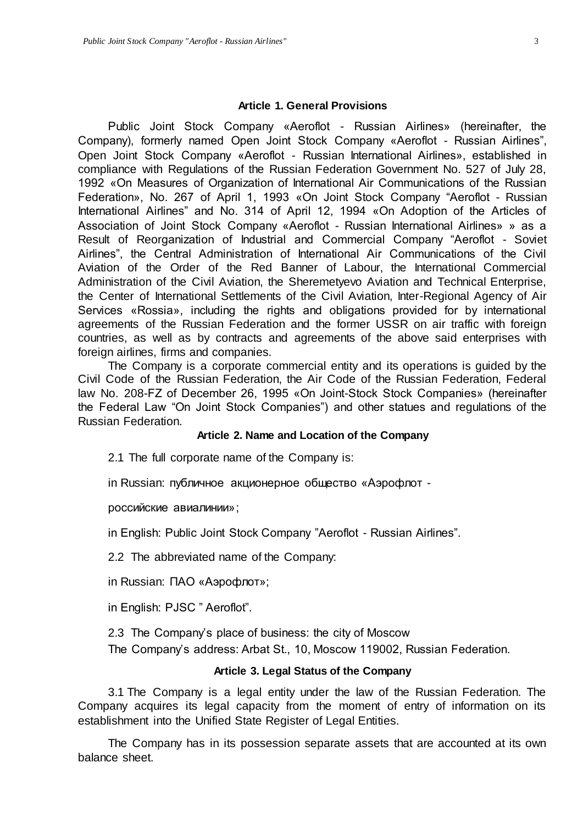#### **Article 1. General Provisions**

Public Joint Stock Company «Aeroflot - Russian Airlines» (hereinafter, the Company), formerly named Open Joint Stock Company «Aeroflot - Russian Airlines", Open Joint Stock Company «Aeroflot - Russian International Airlines», established in compliance with Regulations of the Russian Federation Government No. 527 of July 28, 1992 «On Measures of Organization of International Air Communications of the Russian Federation», No. 267 of April 1, 1993 «On Joint Stock Company "Aeroflot - Russian International Airlines" and No. 314 of April 12, 1994 «On Adoption of the Articles of Association of Joint Stock Company «Aeroflot - Russian International Airlines» » as a Result of Reorganization of Industrial and Commercial Company "Aeroflot - Soviet Airlines", the Central Administration of International Air Communications of the Civil Aviation of the Order of the Red Banner of Labour, the International Commercial Administration of the Civil Aviation, the Sheremetyevo Aviation and Technical Enterprise, the Center of International Settlements of the Civil Aviation, Inter-Regional Agency of Air Services «Rossia», including the rights and obligations provided for by international agreements of the Russian Federation and the former USSR on air traffic with foreign countries, as well as by contracts and agreements of the above said enterprises with foreign airlines, firms and companies.

The Company is a corporate commercial entity and its operations is guided by the Civil Code of the Russian Federation, the Air Code of the Russian Federation, Federal law No. 208-FZ of December 26, 1995 «On Joint-Stock Stock Companies» (hereinafter the Federal Law "On Joint Stock Companies") and other statues and regulations of the Russian Federation.

## **Article 2. Name and Location of the Company**

2.1 The full corporate name of the Company is:

in Russian: публичное акционерное общество «Аэрофлот -

российские авиалинии»;

in English: Public Joint Stock Company "Aeroflot - Russian Airlines".

2.2 The abbreviated name of the Company:

in Russian: ПАО «Аэрофлот»;

in English: PJSC " Aeroflot".

2.3 The Company's place of business: the city of Moscow

The Company's address: Arbat St., 10, Moscow 119002, Russian Federation.

## **Article 3. Legal Status of the Company**

3.1 The Company is a legal entity under the law of the Russian Federation. The Company acquires its legal capacity from the moment of entry of information on its establishment into the Unified State Register of Legal Entities.

The Company has in its possession separate assets that are accounted at its own balance sheet.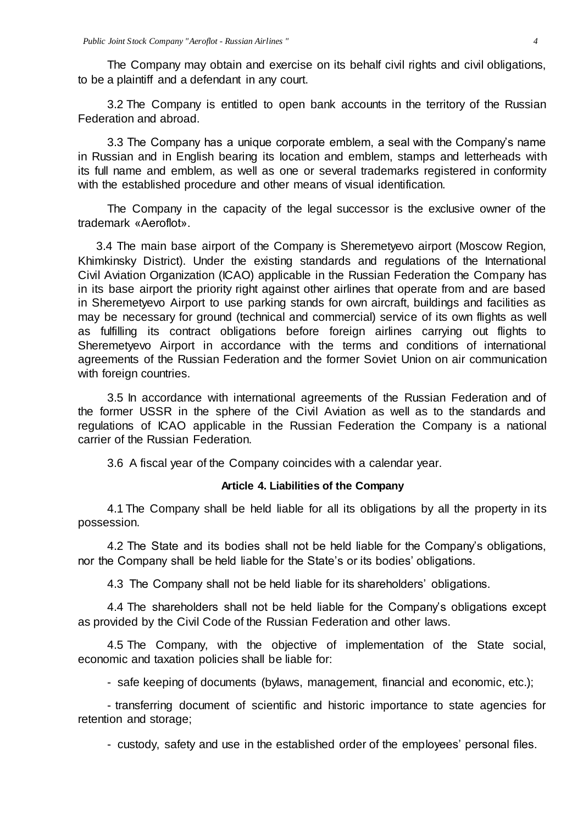The Company may obtain and exercise on its behalf civil rights and civil obligations, to be a plaintiff and a defendant in any court.

3.2 The Company is entitled to open bank accounts in the territory of the Russian Federation and abroad.

3.3 The Company has a unique corporate emblem, a seal with the Company's name in Russian and in English bearing its location and emblem, stamps and letterheads with its full name and emblem, as well as one or several trademarks registered in conformity with the established procedure and other means of visual identification.

The Company in the capacity of the legal successor is the exclusive owner of the trademark «Aeroflot».

3.4 The main base airport of the Company is Sheremetyevo airport (Moscow Region, Khimkinsky District). Under the existing standards and regulations of the International Civil Aviation Organization (ICAO) applicable in the Russian Federation the Company has in its base airport the priority right against other airlines that operate from and are based in Sheremetyevo Airport to use parking stands for own aircraft, buildings and facilities as may be necessary for ground (technical and commercial) service of its own flights as well as fulfilling its contract obligations before foreign airlines carrying out flights to Sheremetyevo Airport in accordance with the terms and conditions of international agreements of the Russian Federation and the former Soviet Union on air communication with foreign countries.

3.5 In accordance with international agreements of the Russian Federation and of the former USSR in the sphere of the Civil Aviation as well as to the standards and regulations of ICAO applicable in the Russian Federation the Company is a national carrier of the Russian Federation.

3.6 A fiscal year of the Company coincides with a calendar year.

#### **Article 4. Liabilities of the Company**

4.1 The Company shall be held liable for all its obligations by all the property in its possession.

4.2 The State and its bodies shall not be held liable for the Company's obligations, nor the Company shall be held liable for the State's or its bodies' obligations.

4.3 The Company shall not be held liable for its shareholders' obligations.

4.4 The shareholders shall not be held liable for the Company's obligations except as provided by the Civil Code of the Russian Federation and other laws.

4.5 The Company, with the objective of implementation of the State social, economic and taxation policies shall be liable for:

- safe keeping of documents (bylaws, management, financial and economic, etc.);

- transferring document of scientific and historic importance to state agencies for retention and storage;

- custody, safety and use in the established order of the employees' personal files.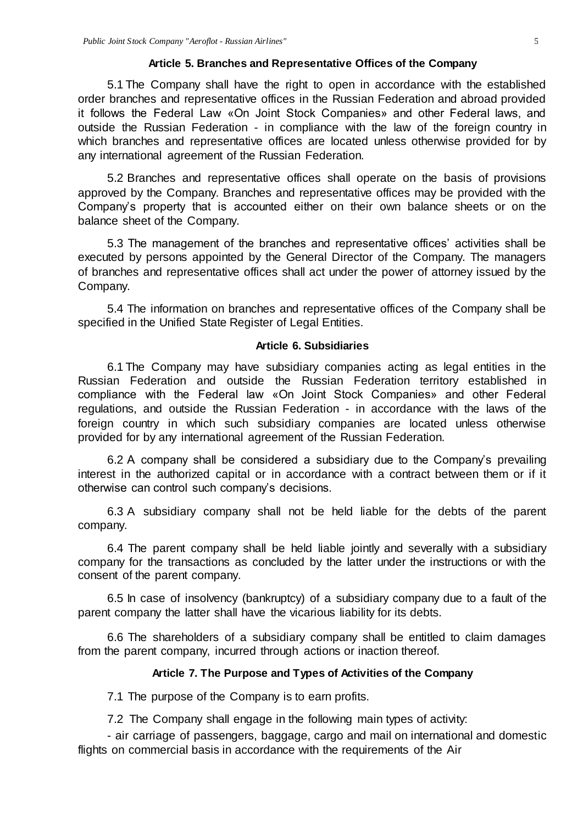#### **Article 5. Branches and Representative Offices of the Company**

5.1 The Company shall have the right to open in accordance with the established order branches and representative offices in the Russian Federation and abroad provided it follows the Federal Law «On Joint Stock Companies» and other Federal laws, and outside the Russian Federation - in compliance with the law of the foreign country in which branches and representative offices are located unless otherwise provided for by any international agreement of the Russian Federation.

5.2 Branches and representative offices shall operate on the basis of provisions approved by the Company. Branches and representative offices may be provided with the Company's property that is accounted either on their own balance sheets or on the balance sheet of the Company.

5.3 The management of the branches and representative offices' activities shall be executed by persons appointed by the General Director of the Company. The managers of branches and representative offices shall act under the power of attorney issued by the Company.

5.4 The information on branches and representative offices of the Company shall be specified in the Unified State Register of Legal Entities.

#### **Article 6. Subsidiaries**

6.1 The Company may have subsidiary companies acting as legal entities in the Russian Federation and outside the Russian Federation territory established in compliance with the Federal law «On Joint Stock Companies» and other Federal regulations, and outside the Russian Federation - in accordance with the laws of the foreign country in which such subsidiary companies are located unless otherwise provided for by any international agreement of the Russian Federation.

6.2 A company shall be considered a subsidiary due to the Company's prevailing interest in the authorized capital or in accordance with a contract between them or if it otherwise can control such company's decisions.

6.3 A subsidiary company shall not be held liable for the debts of the parent company.

6.4 The parent company shall be held liable jointly and severally with a subsidiary company for the transactions as concluded by the latter under the instructions or with the consent of the parent company.

6.5 In case of insolvency (bankruptcy) of a subsidiary company due to a fault of the parent company the latter shall have the vicarious liability for its debts.

6.6 The shareholders of a subsidiary company shall be entitled to claim damages from the parent company, incurred through actions or inaction thereof.

#### **Article 7. The Purpose and Types of Activities of the Company**

7.1 The purpose of the Company is to earn profits.

7.2 The Company shall engage in the following main types of activity:

- air carriage of passengers, baggage, cargo and mail on international and domestic flights on commercial basis in accordance with the requirements of the Air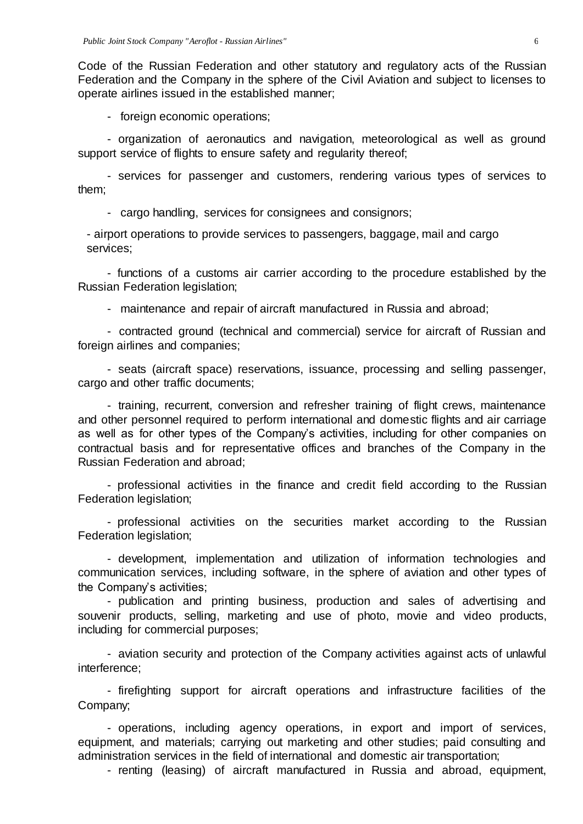Code of the Russian Federation and other statutory and regulatory acts of the Russian Federation and the Company in the sphere of the Civil Aviation and subject to licenses to operate airlines issued in the established manner;

- foreign economic operations;

- organization of aeronautics and navigation, meteorological as well as ground support service of flights to ensure safety and regularity thereof;

- services for passenger and customers, rendering various types of services to them;

- cargo handling, services for consignees and consignors;

- airport operations to provide services to passengers, baggage, mail and cargo services;

- functions of a customs air carrier according to the procedure established by the Russian Federation legislation;

- maintenance and repair of aircraft manufactured in Russia and abroad;

- contracted ground (technical and commercial) service for aircraft of Russian and foreign airlines and companies;

- seats (aircraft space) reservations, issuance, processing and selling passenger, cargo and other traffic documents;

- training, recurrent, conversion and refresher training of flight crews, maintenance and other personnel required to perform international and domestic flights and air carriage as well as for other types of the Company's activities, including for other companies on contractual basis and for representative offices and branches of the Company in the Russian Federation and abroad;

- professional activities in the finance and credit field according to the Russian Federation legislation;

- professional activities on the securities market according to the Russian Federation legislation;

- development, implementation and utilization of information technologies and communication services, including software, in the sphere of aviation and other types of the Company's activities;

- publication and printing business, production and sales of advertising and souvenir products, selling, marketing and use of photo, movie and video products, including for commercial purposes;

- aviation security and protection of the Company activities against acts of unlawful interference;

- firefighting support for aircraft operations and infrastructure facilities of the Company;

- operations, including agency operations, in export and import of services, equipment, and materials; carrying out marketing and other studies; paid consulting and administration services in the field of international and domestic air transportation;

- renting (leasing) of aircraft manufactured in Russia and abroad, equipment,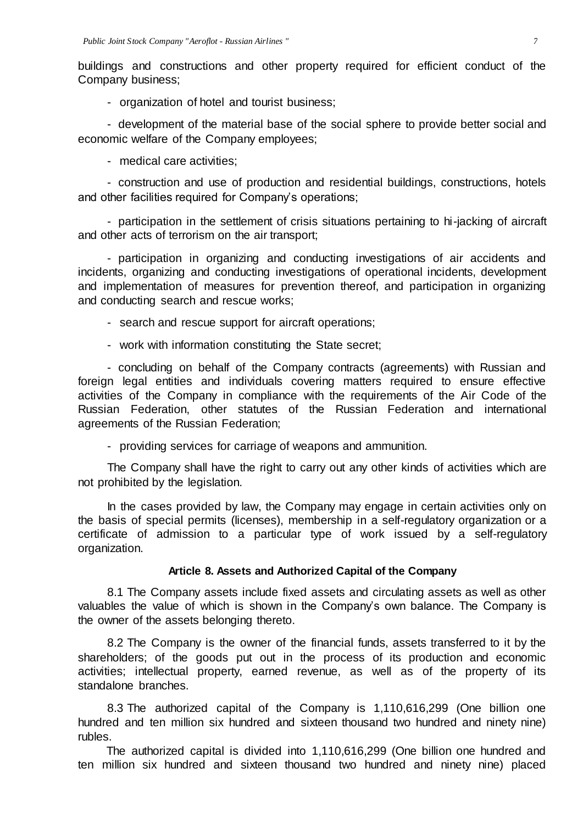buildings and constructions and other property required for efficient conduct of the Company business;

- organization of hotel and tourist business;

- development of the material base of the social sphere to provide better social and economic welfare of the Company employees;

- medical care activities;

- construction and use of production and residential buildings, constructions, hotels and other facilities required for Company's operations;

- participation in the settlement of crisis situations pertaining to hi-jacking of aircraft and other acts of terrorism on the air transport;

- participation in organizing and conducting investigations of air accidents and incidents, organizing and conducting investigations of operational incidents, development and implementation of measures for prevention thereof, and participation in organizing and conducting search and rescue works;

- search and rescue support for aircraft operations;
- work with information constituting the State secret;

- concluding on behalf of the Company contracts (agreements) with Russian and foreign legal entities and individuals covering matters required to ensure effective activities of the Company in compliance with the requirements of the Air Code of the Russian Federation, other statutes of the Russian Federation and international agreements of the Russian Federation;

- providing services for carriage of weapons and ammunition.

The Company shall have the right to carry out any other kinds of activities which are not prohibited by the legislation.

In the cases provided by law, the Company may engage in certain activities only on the basis of special permits (licenses), membership in a self-regulatory organization or a certificate of admission to a particular type of work issued by a self-regulatory organization.

#### **Article 8. Assets and Authorized Capital of the Company**

8.1 The Company assets include fixed assets and circulating assets as well as other valuables the value of which is shown in the Company's own balance. The Company is the owner of the assets belonging thereto.

8.2 The Company is the owner of the financial funds, assets transferred to it by the shareholders; of the goods put out in the process of its production and economic activities; intellectual property, earned revenue, as well as of the property of its standalone branches.

8.3 The authorized capital of the Company is 1,110,616,299 (One billion one hundred and ten million six hundred and sixteen thousand two hundred and ninety nine) rubles.

The authorized capital is divided into 1,110,616,299 (One billion one hundred and ten million six hundred and sixteen thousand two hundred and ninety nine) placed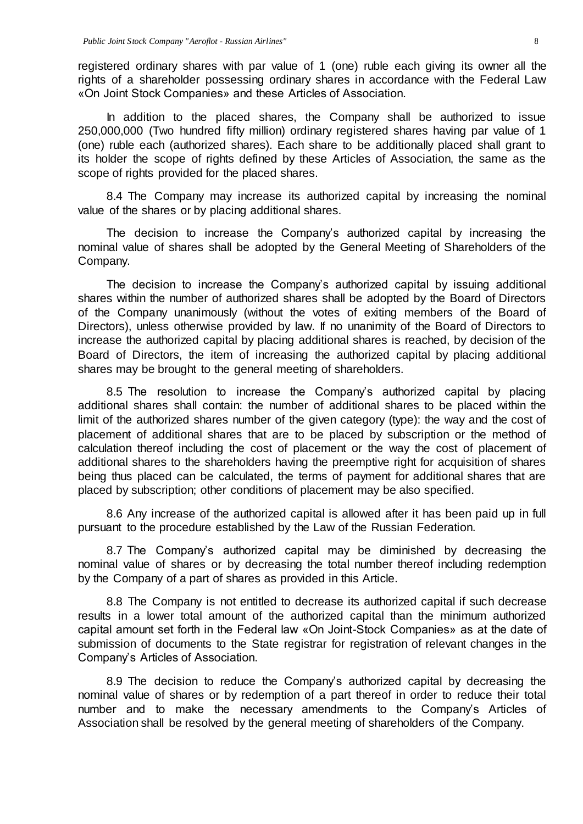registered ordinary shares with par value of 1 (one) ruble each giving its owner all the rights of a shareholder possessing ordinary shares in accordance with the Federal Law «On Joint Stock Companies» and these Articles of Association.

In addition to the placed shares, the Company shall be authorized to issue 250,000,000 (Two hundred fifty million) ordinary registered shares having par value of 1 (one) ruble each (authorized shares). Each share to be additionally placed shall grant to its holder the scope of rights defined by these Articles of Association, the same as the scope of rights provided for the placed shares.

8.4 The Company may increase its authorized capital by increasing the nominal value of the shares or by placing additional shares.

The decision to increase the Company's authorized capital by increasing the nominal value of shares shall be adopted by the General Meeting of Shareholders of the Company.

The decision to increase the Company's authorized capital by issuing additional shares within the number of authorized shares shall be adopted by the Board of Directors of the Company unanimously (without the votes of exiting members of the Board of Directors), unless otherwise provided by law. If no unanimity of the Board of Directors to increase the authorized capital by placing additional shares is reached, by decision of the Board of Directors, the item of increasing the authorized capital by placing additional shares may be brought to the general meeting of shareholders.

8.5 The resolution to increase the Company's authorized capital by placing additional shares shall contain: the number of additional shares to be placed within the limit of the authorized shares number of the given category (type): the way and the cost of placement of additional shares that are to be placed by subscription or the method of calculation thereof including the cost of placement or the way the cost of placement of additional shares to the shareholders having the preemptive right for acquisition of shares being thus placed can be calculated, the terms of payment for additional shares that are placed by subscription; other conditions of placement may be also specified.

8.6 Any increase of the authorized capital is allowed after it has been paid up in full pursuant to the procedure established by the Law of the Russian Federation.

8.7 The Company's authorized capital may be diminished by decreasing the nominal value of shares or by decreasing the total number thereof including redemption by the Company of a part of shares as provided in this Article.

8.8 The Company is not entitled to decrease its authorized capital if such decrease results in a lower total amount of the authorized capital than the minimum authorized capital amount set forth in the Federal law «On Joint-Stock Companies» as at the date of submission of documents to the State registrar for registration of relevant changes in the Company's Articles of Association.

8.9 The decision to reduce the Company's authorized capital by decreasing the nominal value of shares or by redemption of a part thereof in order to reduce their total number and to make the necessary amendments to the Company's Articles of Association shall be resolved by the general meeting of shareholders of the Company.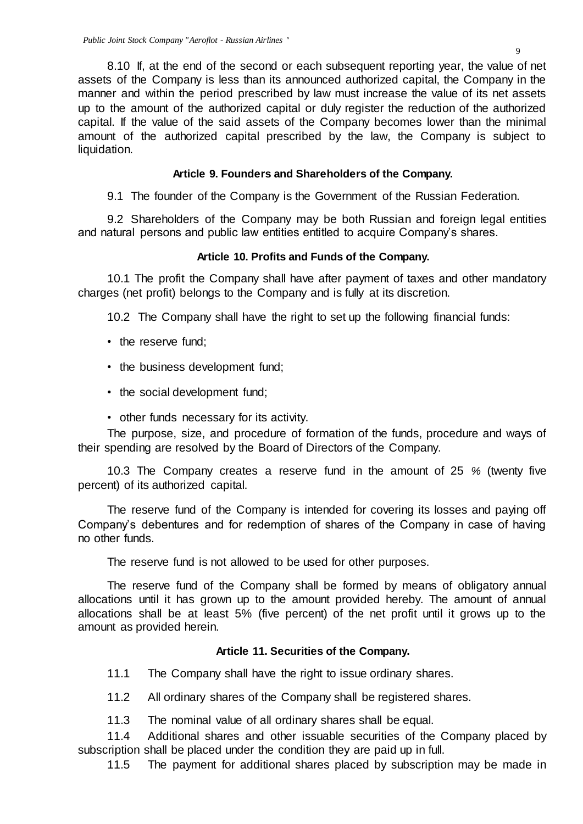8.10 If, at the end of the second or each subsequent reporting year, the value of net assets of the Company is less than its announced authorized capital, the Company in the manner and within the period prescribed by law must increase the value of its net assets up to the amount of the authorized capital or duly register the reduction of the authorized capital. If the value of the said assets of the Company becomes lower than the minimal amount of the authorized capital prescribed by the law, the Company is subject to liquidation.

## **Article 9. Founders and Shareholders of the Company.**

9.1 The founder of the Company is the Government of the Russian Federation.

9.2 Shareholders of the Company may be both Russian and foreign legal entities and natural persons and public law entities entitled to acquire Company's shares.

## **Article 10. Profits and Funds of the Company.**

10.1 The profit the Company shall have after payment of taxes and other mandatory charges (net profit) belongs to the Company and is fully at its discretion.

10.2 The Company shall have the right to set up the following financial funds:

- the reserve fund;
- the business development fund;
- the social development fund;
- other funds necessary for its activity.

The purpose, size, and procedure of formation of the funds, procedure and ways of their spending are resolved by the Board of Directors of the Company.

10.3 The Company creates a reserve fund in the amount of 25 *%* (twenty five percent) of its authorized capital.

The reserve fund of the Company is intended for covering its losses and paying off Company's debentures and for redemption of shares of the Company in case of having no other funds.

The reserve fund is not allowed to be used for other purposes.

The reserve fund of the Company shall be formed by means of obligatory annual allocations until it has grown up to the amount provided hereby. The amount of annual allocations shall be at least 5% (five percent) of the net profit until it grows up to the amount as provided herein.

## **Article 11. Securities of the Company.**

- 11.1 The Company shall have the right to issue ordinary shares.
- 11.2 All ordinary shares of the Company shall be registered shares.
- 11.3 The nominal value of all ordinary shares shall be equal.

11.4 Additional shares and other issuable securities of the Company placed by subscription shall be placed under the condition they are paid up in full.

11.5 The payment for additional shares placed by subscription may be made in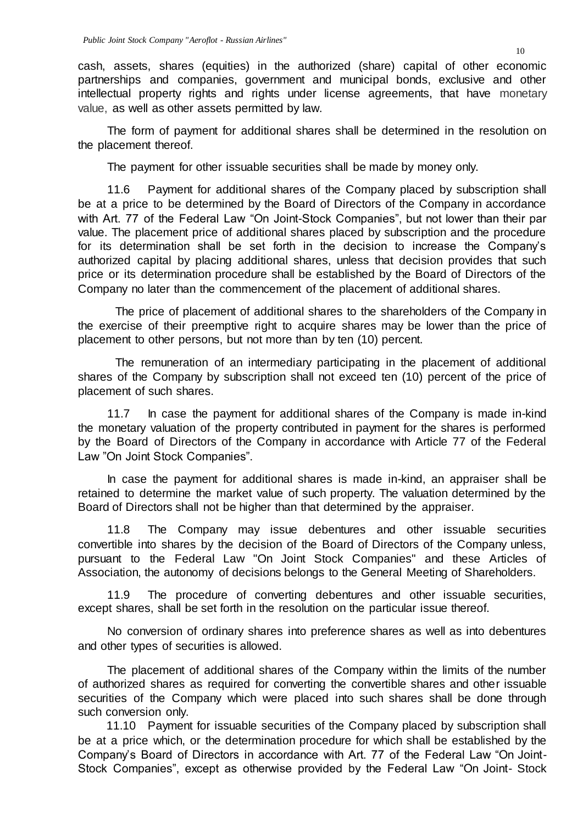cash, assets, shares (equities) in the authorized (share) capital of other economic partnerships and companies, government and municipal bonds, exclusive and other intellectual property rights and rights under license agreements, that have monetary value, as well as other assets permitted by law.

The form of payment for additional shares shall be determined in the resolution on the placement thereof.

The payment for other issuable securities shall be made by money only.

11.6 Payment for additional shares of the Company placed by subscription shall be at a price to be determined by the Board of Directors of the Company in accordance with Art. 77 of the Federal Law "On Joint-Stock Companies", but not lower than their par value. The placement price of additional shares placed by subscription and the procedure for its determination shall be set forth in the decision to increase the Company's authorized capital by placing additional shares, unless that decision provides that such price or its determination procedure shall be established by the Board of Directors of the Company no later than the commencement of the placement of additional shares.

The price of placement of additional shares to the shareholders of the Company in the exercise of their preemptive right to acquire shares may be lower than the price of placement to other persons, but not more than by ten (10) percent.

The remuneration of an intermediary participating in the placement of additional shares of the Company by subscription shall not exceed ten (10) percent of the price of placement of such shares.

11.7 In case the payment for additional shares of the Company is made in-kind the monetary valuation of the property contributed in payment for the shares is performed by the Board of Directors of the Company in accordance with Article 77 of the Federal Law "On Joint Stock Companies".

In case the payment for additional shares is made in-kind, an appraiser shall be retained to determine the market value of such property. The valuation determined by the Board of Directors shall not be higher than that determined by the appraiser.

11.8 The Company may issue debentures and other issuable securities convertible into shares by the decision of the Board of Directors of the Company unless, pursuant to the Federal Law "On Joint Stock Companies" and these Articles of Association, the autonomy of decisions belongs to the General Meeting of Shareholders.

11.9 The procedure of converting debentures and other issuable securities, except shares, shall be set forth in the resolution on the particular issue thereof.

No conversion of ordinary shares into preference shares as well as into debentures and other types of securities is allowed.

The placement of additional shares of the Company within the limits of the number of authorized shares as required for converting the convertible shares and other issuable securities of the Company which were placed into such shares shall be done through such conversion only.

11.10 Payment for issuable securities of the Company placed by subscription shall be at a price which, or the determination procedure for which shall be established by the Company's Board of Directors in accordance with Art. 77 of the Federal Law "On Joint-Stock Companies", except as otherwise provided by the Federal Law "On Joint- Stock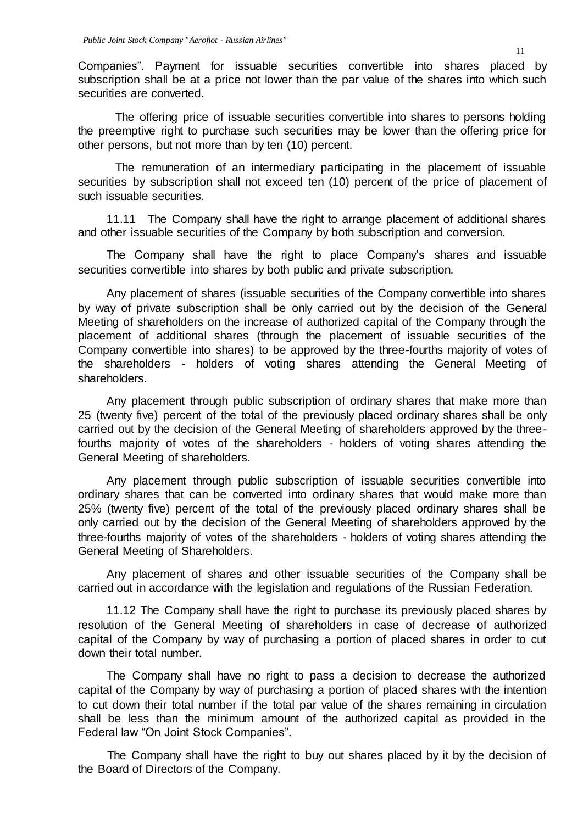Companies". Payment for issuable securities convertible into shares placed by subscription shall be at a price not lower than the par value of the shares into which such securities are converted.

The offering price of issuable securities convertible into shares to persons holding the preemptive right to purchase such securities may be lower than the offering price for other persons, but not more than by ten (10) percent.

The remuneration of an intermediary participating in the placement of issuable securities by subscription shall not exceed ten (10) percent of the price of placement of such issuable securities.

11.11 The Company shall have the right to arrange placement of additional shares and other issuable securities of the Company by both subscription and conversion.

The Company shall have the right to place Company's shares and issuable securities convertible into shares by both public and private subscription.

Any placement of shares (issuable securities of the Company convertible into shares by way of private subscription shall be only carried out by the decision of the General Meeting of shareholders on the increase of authorized capital of the Company through the placement of additional shares (through the placement of issuable securities of the Company convertible into shares) to be approved by the three-fourths majority of votes of the shareholders - holders of voting shares attending the General Meeting of shareholders.

Any placement through public subscription of ordinary shares that make more than 25 (twenty five) percent of the total of the previously placed ordinary shares shall be only carried out by the decision of the General Meeting of shareholders approved by the threefourths majority of votes of the shareholders - holders of voting shares attending the General Meeting of shareholders.

Any placement through public subscription of issuable securities convertible into ordinary shares that can be converted into ordinary shares that would make more than 25% (twenty five) percent of the total of the previously placed ordinary shares shall be only carried out by the decision of the General Meeting of shareholders approved by the three-fourths majority of votes of the shareholders - holders of voting shares attending the General Meeting of Shareholders.

Any placement of shares and other issuable securities of the Company shall be carried out in accordance with the legislation and regulations of the Russian Federation.

11.12 The Company shall have the right to purchase its previously placed shares by resolution of the General Meeting of shareholders in case of decrease of authorized capital of the Company by way of purchasing a portion of placed shares in order to cut down their total number.

The Company shall have no right to pass a decision to decrease the authorized capital of the Company by way of purchasing a portion of placed shares with the intention to cut down their total number if the total par value of the shares remaining in circulation shall be less than the minimum amount of the authorized capital as provided in the Federal law "On Joint Stock Companies".

The Company shall have the right to buy out shares placed by it by the decision of the Board of Directors of the Company.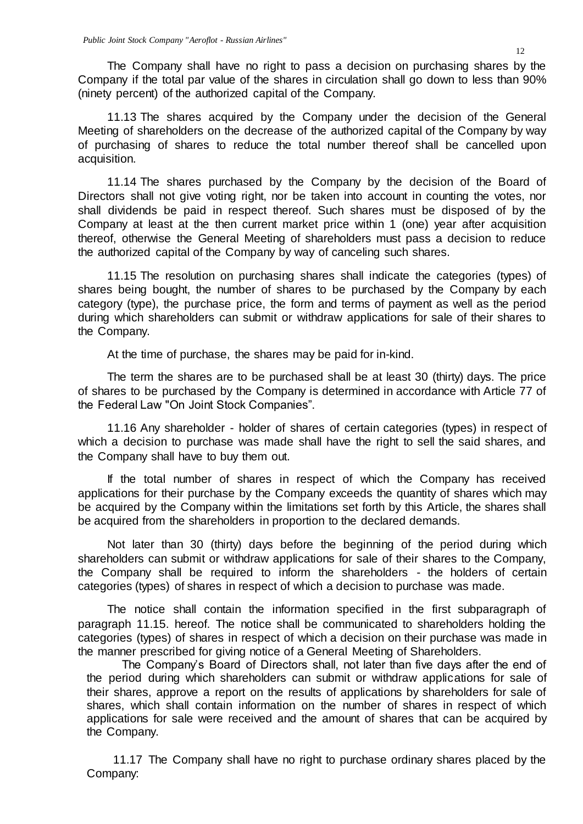The Company shall have no right to pass a decision on purchasing shares by the Company if the total par value of the shares in circulation shall go down to less than 90% (ninety percent) of the authorized capital of the Company.

11.13 The shares acquired by the Company under the decision of the General Meeting of shareholders on the decrease of the authorized capital of the Company by way of purchasing of shares to reduce the total number thereof shall be cancelled upon acquisition.

11.14 The shares purchased by the Company by the decision of the Board of Directors shall not give voting right, nor be taken into account in counting the votes, nor shall dividends be paid in respect thereof. Such shares must be disposed of by the Company at least at the then current market price within 1 (one) year after acquisition thereof, otherwise the General Meeting of shareholders must pass a decision to reduce the authorized capital of the Company by way of canceling such shares.

11.15 The resolution on purchasing shares shall indicate the categories (types) of shares being bought, the number of shares to be purchased by the Company by each category (type), the purchase price, the form and terms of payment as well as the period during which shareholders can submit or withdraw applications for sale of their shares to the Company.

At the time of purchase, the shares may be paid for in-kind.

The term the shares are to be purchased shall be at least 30 (thirty) days. The price of shares to be purchased by the Company is determined in accordance with Article 77 of the Federal Law "On Joint Stock Companies".

11.16 Any shareholder - holder of shares of certain categories (types) in respect of which a decision to purchase was made shall have the right to sell the said shares, and the Company shall have to buy them out.

If the total number of shares in respect of which the Company has received applications for their purchase by the Company exceeds the quantity of shares which may be acquired by the Company within the limitations set forth by this Article, the shares shall be acquired from the shareholders in proportion to the declared demands.

Not later than 30 (thirty) days before the beginning of the period during which shareholders can submit or withdraw applications for sale of their shares to the Company, the Company shall be required to inform the shareholders - the holders of certain categories (types) of shares in respect of which a decision to purchase was made.

The notice shall contain the information specified in the first subparagraph of paragraph 11.15. hereof. The notice shall be communicated to shareholders holding the categories (types) of shares in respect of which a decision on their purchase was made in the manner prescribed for giving notice of a General Meeting of Shareholders.

The Company's Board of Directors shall, not later than five days after the end of the period during which shareholders can submit or withdraw applications for sale of their shares, approve a report on the results of applications by shareholders for sale of shares, which shall contain information on the number of shares in respect of which applications for sale were received and the amount of shares that can be acquired by the Company.

11.17 The Company shall have no right to purchase ordinary shares placed by the Company: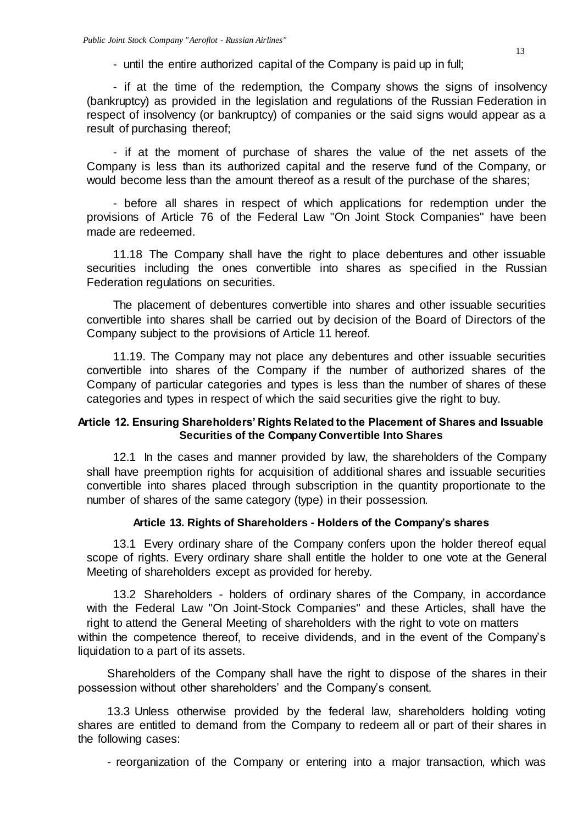- until the entire authorized capital of the Company is paid up in full;

- if at the time of the redemption, the Company shows the signs of insolvency (bankruptcy) as provided in the legislation and regulations of the Russian Federation in respect of insolvency (or bankruptcy) of companies or the said signs would appear as a result of purchasing thereof;

- if at the moment of purchase of shares the value of the net assets of the Company is less than its authorized capital and the reserve fund of the Company, or would become less than the amount thereof as a result of the purchase of the shares;

- before all shares in respect of which applications for redemption under the provisions of Article 76 of the Federal Law "On Joint Stock Companies" have been made are redeemed.

11.18 The Company shall have the right to place debentures and other issuable securities including the ones convertible into shares as specified in the Russian Federation regulations on securities.

The placement of debentures convertible into shares and other issuable securities convertible into shares shall be carried out by decision of the Board of Directors of the Company subject to the provisions of Article 11 hereof.

11.19. The Company may not place any debentures and other issuable securities convertible into shares of the Company if the number of authorized shares of the Company of particular categories and types is less than the number of shares of these categories and types in respect of which the said securities give the right to buy.

## **Article 12. Ensuring Shareholders' Rights Related to the Placement of Shares and Issuable Securities of the Company Convertible Into Shares**

12.1 In the cases and manner provided by law, the shareholders of the Company shall have preemption rights for acquisition of additional shares and issuable securities convertible into shares placed through subscription in the quantity proportionate to the number of shares of the same category (type) in their possession.

## **Article 13. Rights of Shareholders - Holders of the Company's shares**

13.1 Every ordinary share of the Company confers upon the holder thereof equal scope of rights. Every ordinary share shall entitle the holder to one vote at the General Meeting of shareholders except as provided for hereby.

13.2 Shareholders - holders of ordinary shares of the Company, in accordance with the Federal Law "On Joint-Stock Companies" and these Articles, shall have the right to attend the General Meeting of shareholders with the right to vote on matters within the competence thereof, to receive dividends, and in the event of the Company's liquidation to a part of its assets.

Shareholders of the Company shall have the right to dispose of the shares in their possession without other shareholders' and the Company's consent.

13.3 Unless otherwise provided by the federal law, shareholders holding voting shares are entitled to demand from the Company to redeem all or part of their shares in the following cases:

- reorganization of the Company or entering into a major transaction, which was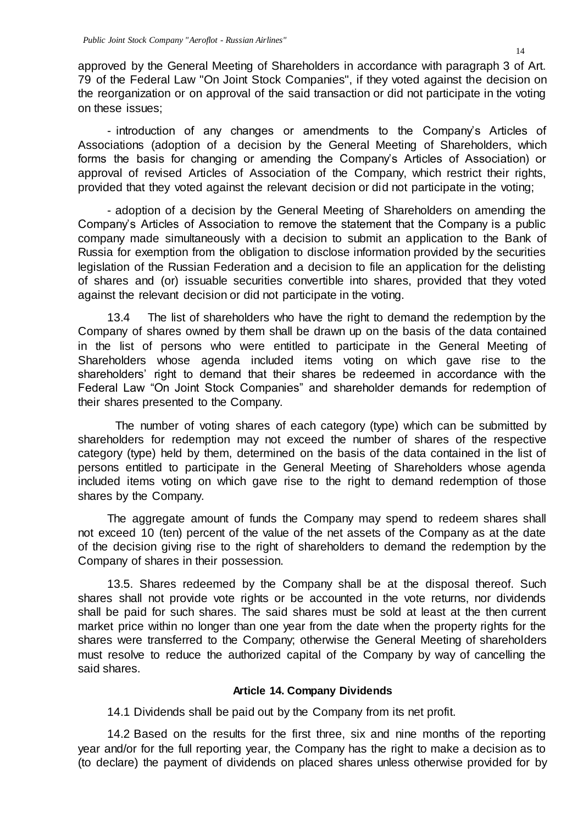approved by the General Meeting of Shareholders in accordance with paragraph 3 of Art. 79 of the Federal Law "On Joint Stock Companies", if they voted against the decision on the reorganization or on approval of the said transaction or did not participate in the voting on these issues;

- introduction of any changes or amendments to the Company's Articles of Associations (adoption of a decision by the General Meeting of Shareholders, which forms the basis for changing or amending the Company's Articles of Association) or approval of revised Articles of Association of the Company, which restrict their rights, provided that they voted against the relevant decision or did not participate in the voting;

- adoption of a decision by the General Meeting of Shareholders on amending the Company's Articles of Association to remove the statement that the Company is a public company made simultaneously with a decision to submit an application to the Bank of Russia for exemption from the obligation to disclose information provided by the securities legislation of the Russian Federation and a decision to file an application for the delisting of shares and (or) issuable securities convertible into shares, provided that they voted against the relevant decision or did not participate in the voting.

13.4 The list of shareholders who have the right to demand the redemption by the Company of shares owned by them shall be drawn up on the basis of the data contained in the list of persons who were entitled to participate in the General Meeting of Shareholders whose agenda included items voting on which gave rise to the shareholders' right to demand that their shares be redeemed in accordance with the Federal Law "On Joint Stock Companies" and shareholder demands for redemption of their shares presented to the Company.

The number of voting shares of each category (type) which can be submitted by shareholders for redemption may not exceed the number of shares of the respective category (type) held by them, determined on the basis of the data contained in the list of persons entitled to participate in the General Meeting of Shareholders whose agenda included items voting on which gave rise to the right to demand redemption of those shares by the Company.

The aggregate amount of funds the Company may spend to redeem shares shall not exceed 10 (ten) percent of the value of the net assets of the Company as at the date of the decision giving rise to the right of shareholders to demand the redemption by the Company of shares in their possession.

13.5. Shares redeemed by the Company shall be at the disposal thereof. Such shares shall not provide vote rights or be accounted in the vote returns, nor dividends shall be paid for such shares. The said shares must be sold at least at the then current market price within no longer than one year from the date when the property rights for the shares were transferred to the Company; otherwise the General Meeting of shareholders must resolve to reduce the authorized capital of the Company by way of cancelling the said shares.

## **Article 14. Company Dividends**

14.1 Dividends shall be paid out by the Company from its net profit.

14.2 Based on the results for the first three, six and nine months of the reporting year and/or for the full reporting year, the Company has the right to make a decision as to (to declare) the payment of dividends on placed shares unless otherwise provided for by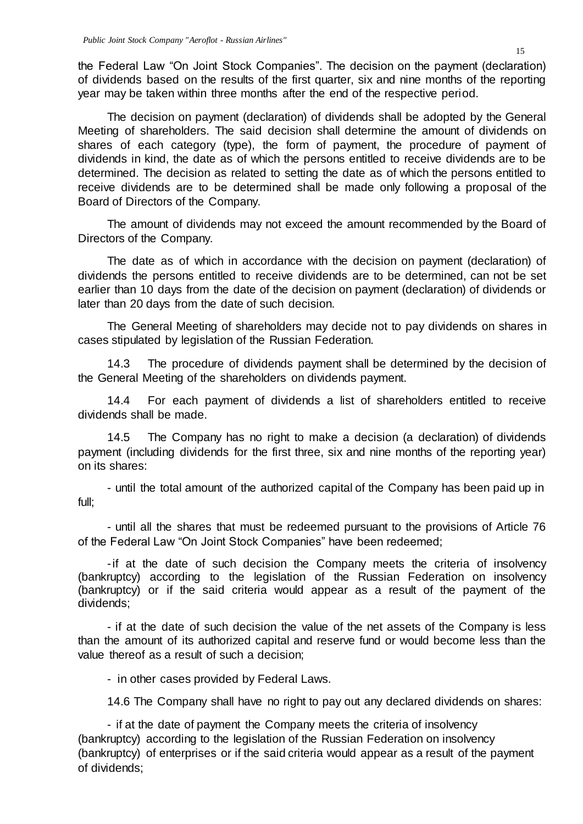the Federal Law "On Joint Stock Companies". The decision on the payment (declaration) of dividends based on the results of the first quarter, six and nine months of the reporting year may be taken within three months after the end of the respective period.

The decision on payment (declaration) of dividends shall be adopted by the General Meeting of shareholders. The said decision shall determine the amount of dividends on shares of each category (type), the form of payment, the procedure of payment of dividends in kind, the date as of which the persons entitled to receive dividends are to be determined. The decision as related to setting the date as of which the persons entitled to receive dividends are to be determined shall be made only following a proposal of the Board of Directors of the Company.

The amount of dividends may not exceed the amount recommended by the Board of Directors of the Company.

The date as of which in accordance with the decision on payment (declaration) of dividends the persons entitled to receive dividends are to be determined, can not be set earlier than 10 days from the date of the decision on payment (declaration) of dividends or later than 20 days from the date of such decision.

The General Meeting of shareholders may decide not to pay dividends on shares in cases stipulated by legislation of the Russian Federation.

14.3 The procedure of dividends payment shall be determined by the decision of the General Meeting of the shareholders on dividends payment.

14.4 For each payment of dividends a list of shareholders entitled to receive dividends shall be made.

14.5 The Company has no right to make a decision (a declaration) of dividends payment (including dividends for the first three, six and nine months of the reporting year) on its shares:

- until the total amount of the authorized capital of the Company has been paid up in full;

- until all the shares that must be redeemed pursuant to the provisions of Article 76 of the Federal Law "On Joint Stock Companies" have been redeemed;

-if at the date of such decision the Company meets the criteria of insolvency (bankruptcy) according to the legislation of the Russian Federation on insolvency (bankruptcy) or if the said criteria would appear as a result of the payment of the dividends;

- if at the date of such decision the value of the net assets of the Company is less than the amount of its authorized capital and reserve fund or would become less than the value thereof as a result of such a decision;

- in other cases provided by Federal Laws.

14.6 The Company shall have no right to pay out any declared dividends on shares:

- if at the date of payment the Company meets the criteria of insolvency (bankruptcy) according to the legislation of the Russian Federation on insolvency (bankruptcy) of enterprises or if the said criteria would appear as a result of the payment of dividends;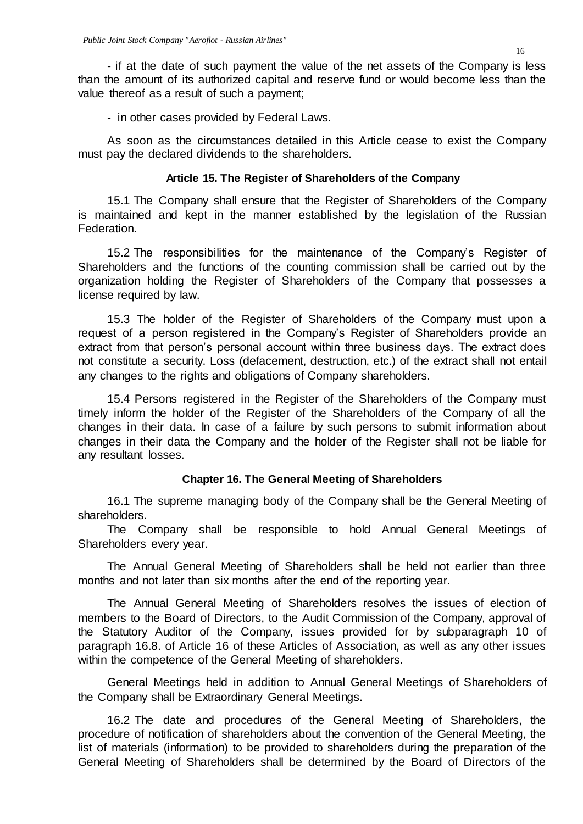- if at the date of such payment the value of the net assets of the Company is less than the amount of its authorized capital and reserve fund or would become less than the value thereof as a result of such a payment;

- in other cases provided by Federal Laws.

As soon as the circumstances detailed in this Article cease to exist the Company must pay the declared dividends to the shareholders.

#### **Article 15. The Register of Shareholders of the Company**

15.1 The Company shall ensure that the Register of Shareholders of the Company is maintained and kept in the manner established by the legislation of the Russian Federation.

15.2 The responsibilities for the maintenance of the Company's Register of Shareholders and the functions of the counting commission shall be carried out by the organization holding the Register of Shareholders of the Company that possesses a license required by law.

15.3 The holder of the Register of Shareholders of the Company must upon a request of a person registered in the Company's Register of Shareholders provide an extract from that person's personal account within three business days. The extract does not constitute a security. Loss (defacement, destruction, etc.) of the extract shall not entail any changes to the rights and obligations of Company shareholders.

15.4 Persons registered in the Register of the Shareholders of the Company must timely inform the holder of the Register of the Shareholders of the Company of all the changes in their data. In case of a failure by such persons to submit information about changes in their data the Company and the holder of the Register shall not be liable for any resultant losses.

#### **Chapter 16. The General Meeting of Shareholders**

16.1 The supreme managing body of the Company shall be the General Meeting of shareholders.

The Company shall be responsible to hold Annual General Meetings of Shareholders every year.

The Annual General Meeting of Shareholders shall be held not earlier than three months and not later than six months after the end of the reporting year.

The Annual General Meeting of Shareholders resolves the issues of election of members to the Board of Directors, to the Audit Commission of the Company, approval of the Statutory Auditor of the Company, issues provided for by subparagraph 10 of paragraph 16.8. of Article 16 of these Articles of Association, as well as any other issues within the competence of the General Meeting of shareholders.

General Meetings held in addition to Annual General Meetings of Shareholders of the Company shall be Extraordinary General Meetings.

16.2 The date and procedures of the General Meeting of Shareholders, the procedure of notification of shareholders about the convention of the General Meeting, the list of materials (information) to be provided to shareholders during the preparation of the General Meeting of Shareholders shall be determined by the Board of Directors of the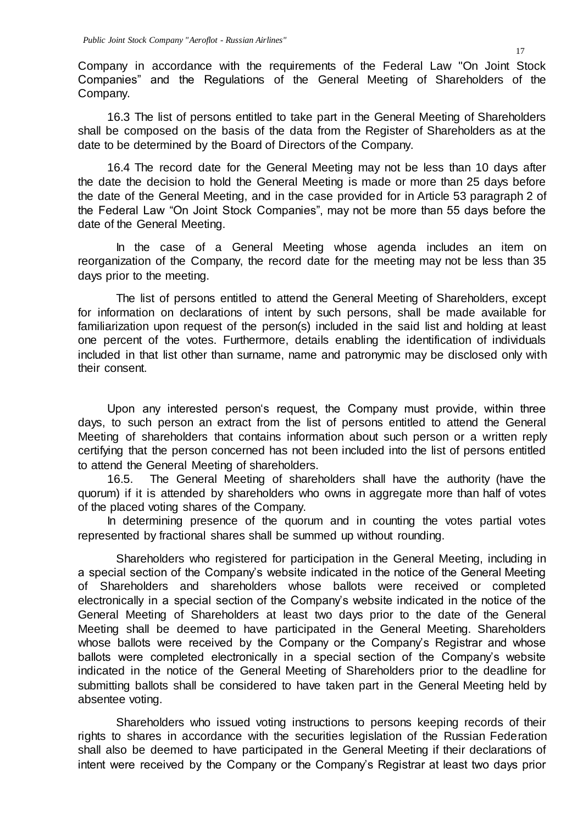Company in accordance with the requirements of the Federal Law "On Joint Stock Companies" and the Regulations of the General Meeting of Shareholders of the Company.

16.3 The list of persons entitled to take part in the General Meeting of Shareholders shall be composed on the basis of the data from the Register of Shareholders as at the date to be determined by the Board of Directors of the Company.

16.4 The record date for the General Meeting may not be less than 10 days after the date the decision to hold the General Meeting is made or more than 25 days before the date of the General Meeting, and in the case provided for in Article 53 paragraph 2 of the Federal Law "On Joint Stock Companies", may not be more than 55 days before the date of the General Meeting.

In the case of a General Meeting whose agenda includes an item on reorganization of the Company, the record date for the meeting may not be less than 35 days prior to the meeting.

The list of persons entitled to attend the General Meeting of Shareholders, except for information on declarations of intent by such persons, shall be made available for familiarization upon request of the person(s) included in the said list and holding at least one percent of the votes. Furthermore, details enabling the identification of individuals included in that list other than surname, name and patronymic may be disclosed only with their consent.

Upon any interested person's request, the Company must provide, within three days, to such person an extract from the list of persons entitled to attend the General Meeting of shareholders that contains information about such person or a written reply certifying that the person concerned has not been included into the list of persons entitled to attend the General Meeting of shareholders.

16.5. The General Meeting of shareholders shall have the authority (have the quorum) if it is attended by shareholders who owns in aggregate more than half of votes of the placed voting shares of the Company.

In determining presence of the quorum and in counting the votes partial votes represented by fractional shares shall be summed up without rounding.

Shareholders who registered for participation in the General Meeting, including in a special section of the Company's website indicated in the notice of the General Meeting of Shareholders and shareholders whose ballots were received or completed electronically in a special section of the Company's website indicated in the notice of the General Meeting of Shareholders at least two days prior to the date of the General Meeting shall be deemed to have participated in the General Meeting. Shareholders whose ballots were received by the Company or the Company's Registrar and whose ballots were completed electronically in a special section of the Company's website indicated in the notice of the General Meeting of Shareholders prior to the deadline for submitting ballots shall be considered to have taken part in the General Meeting held by absentee voting.

Shareholders who issued voting instructions to persons keeping records of their rights to shares in accordance with the securities legislation of the Russian Federation shall also be deemed to have participated in the General Meeting if their declarations of intent were received by the Company or the Company's Registrar at least two days prior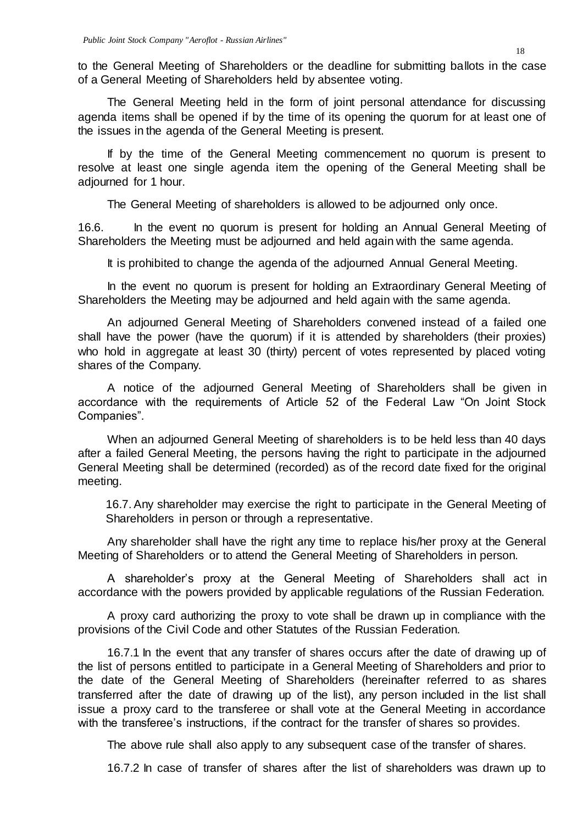to the General Meeting of Shareholders or the deadline for submitting ballots in the case of a General Meeting of Shareholders held by absentee voting.

The General Meeting held in the form of joint personal attendance for discussing agenda items shall be opened if by the time of its opening the quorum for at least one of the issues in the agenda of the General Meeting is present.

If by the time of the General Meeting commencement no quorum is present to resolve at least one single agenda item the opening of the General Meeting shall be adjourned for 1 hour.

The General Meeting of shareholders is allowed to be adjourned only once.

16.6. In the event no quorum is present for holding an Annual General Meeting of Shareholders the Meeting must be adjourned and held again with the same agenda.

It is prohibited to change the agenda of the adjourned Annual General Meeting.

In the event no quorum is present for holding an Extraordinary General Meeting of Shareholders the Meeting may be adjourned and held again with the same agenda.

An adjourned General Meeting of Shareholders convened instead of a failed one shall have the power (have the quorum) if it is attended by shareholders (their proxies) who hold in aggregate at least 30 (thirty) percent of votes represented by placed voting shares of the Company.

A notice of the adjourned General Meeting of Shareholders shall be given in accordance with the requirements of Article 52 of the Federal Law "On Joint Stock Companies".

When an adjourned General Meeting of shareholders is to be held less than 40 days after a failed General Meeting, the persons having the right to participate in the adjourned General Meeting shall be determined (recorded) as of the record date fixed for the original meeting.

16.7.Any shareholder may exercise the right to participate in the General Meeting of Shareholders in person or through a representative.

Any shareholder shall have the right any time to replace his/her proxy at the General Meeting of Shareholders or to attend the General Meeting of Shareholders in person.

A shareholder's proxy at the General Meeting of Shareholders shall act in accordance with the powers provided by applicable regulations of the Russian Federation.

A proxy card authorizing the proxy to vote shall be drawn up in compliance with the provisions of the Civil Code and other Statutes of the Russian Federation.

16.7.1 In the event that any transfer of shares occurs after the date of drawing up of the list of persons entitled to participate in a General Meeting of Shareholders and prior to the date of the General Meeting of Shareholders (hereinafter referred to as shares transferred after the date of drawing up of the list), any person included in the list shall issue a proxy card to the transferee or shall vote at the General Meeting in accordance with the transferee's instructions, if the contract for the transfer of shares so provides.

The above rule shall also apply to any subsequent case of the transfer of shares.

16.7.2 In case of transfer of shares after the list of shareholders was drawn up to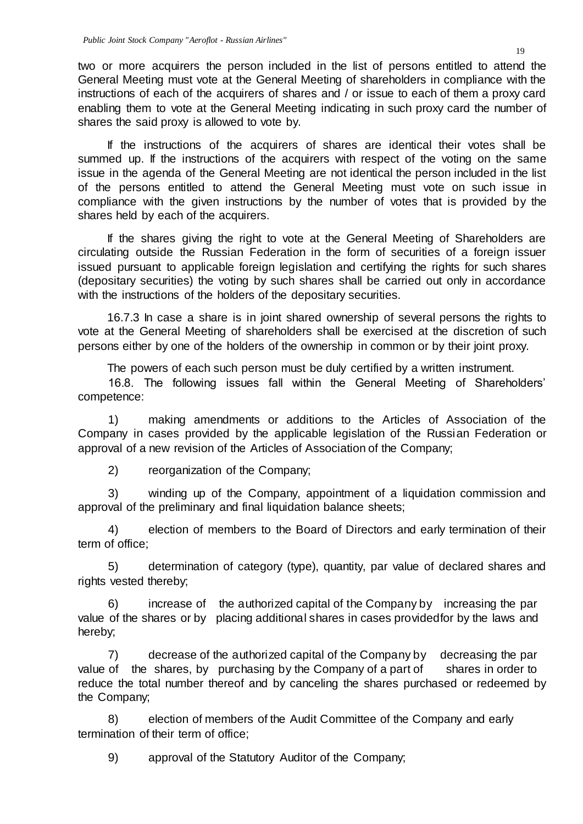two or more acquirers the person included in the list of persons entitled to attend the General Meeting must vote at the General Meeting of shareholders in compliance with the instructions of each of the acquirers of shares and / or issue to each of them a proxy card enabling them to vote at the General Meeting indicating in such proxy card the number of shares the said proxy is allowed to vote by.

If the instructions of the acquirers of shares are identical their votes shall be summed up. If the instructions of the acquirers with respect of the voting on the same issue in the agenda of the General Meeting are not identical the person included in the list of the persons entitled to attend the General Meeting must vote on such issue in compliance with the given instructions by the number of votes that is provided by the shares held by each of the acquirers.

If the shares giving the right to vote at the General Meeting of Shareholders are circulating outside the Russian Federation in the form of securities of a foreign issuer issued pursuant to applicable foreign legislation and certifying the rights for such shares (depositary securities) the voting by such shares shall be carried out only in accordance with the instructions of the holders of the depositary securities.

16.7.3 In case a share is in joint shared ownership of several persons the rights to vote at the General Meeting of shareholders shall be exercised at the discretion of such persons either by one of the holders of the ownership in common or by their joint proxy.

The powers of each such person must be duly certified by a written instrument.

16.8. The following issues fall within the General Meeting of Shareholders' competence:

1) making amendments or additions to the Articles of Association of the Company in cases provided by the applicable legislation of the Russian Federation or approval of a new revision of the Articles of Association of the Company;

2) reorganization of the Company;

3) winding up of the Company, appointment of a liquidation commission and approval of the preliminary and final liquidation balance sheets;

4) election of members to the Board of Directors and early termination of their term of office;

5) determination of category (type), quantity, par value of declared shares and rights vested thereby;

6) increase of the authorized capital of the Company by increasing the par value of the shares or by placing additional shares in cases providedfor by the laws and hereby;

7) decrease of the authorized capital of the Company by decreasing the par value of the shares, by purchasing by the Company of a part of shares in order to reduce the total number thereof and by canceling the shares purchased or redeemed by the Company;

8) election of members of the Audit Committee of the Company and early termination of their term of office;

9) approval of the Statutory Auditor of the Company;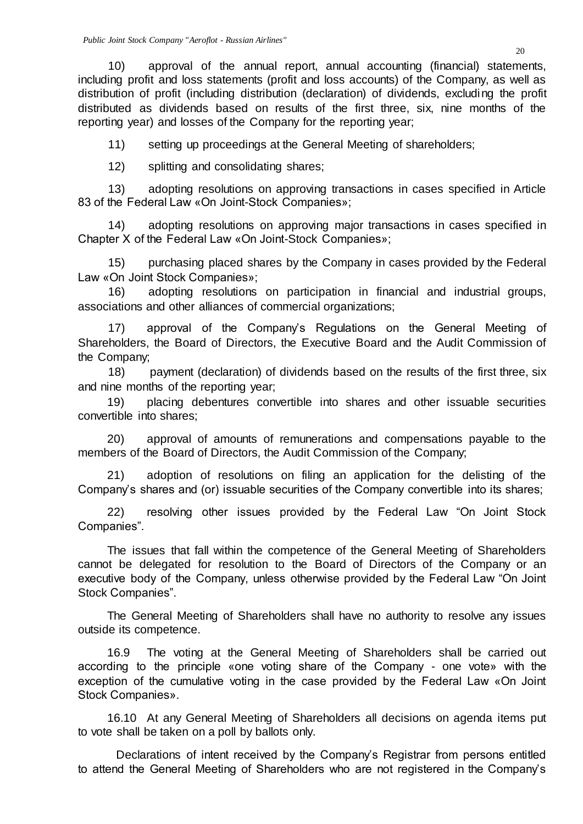10) approval of the annual report, annual accounting (financial) statements, including profit and loss statements (profit and loss accounts) of the Company, as well as distribution of profit (including distribution (declaration) of dividends, excluding the profit distributed as dividends based on results of the first three, six, nine months of the reporting year) and losses of the Company for the reporting year;

11) setting up proceedings at the General Meeting of shareholders;

12) splitting and consolidating shares;

13) adopting resolutions on approving transactions in cases specified in Article 83 of the Federal Law «On Joint-Stock Companies»;

14) adopting resolutions on approving major transactions in cases specified in Chapter X of the Federal Law «On Joint-Stock Companies»;

15) purchasing placed shares by the Company in cases provided by the Federal Law «On Joint Stock Companies»;

16) adopting resolutions on participation in financial and industrial groups, associations and other alliances of commercial organizations;

17) approval of the Company's Regulations on the General Meeting of Shareholders, the Board of Directors, the Executive Board and the Audit Commission of the Company;

18) payment (declaration) of dividends based on the results of the first three, six and nine months of the reporting year;

19) placing debentures convertible into shares and other issuable securities convertible into shares;

20) approval of amounts of remunerations and compensations payable to the members of the Board of Directors, the Audit Commission of the Company;

21) adoption of resolutions on filing an application for the delisting of the Company's shares and (or) issuable securities of the Company convertible into its shares;

22) resolving other issues provided by the Federal Law "On Joint Stock Companies".

The issues that fall within the competence of the General Meeting of Shareholders cannot be delegated for resolution to the Board of Directors of the Company or an executive body of the Company, unless otherwise provided by the Federal Law "On Joint Stock Companies".

The General Meeting of Shareholders shall have no authority to resolve any issues outside its competence.

16.9 The voting at the General Meeting of Shareholders shall be carried out according to the principle «one voting share of the Company - one vote» with the exception of the cumulative voting in the case provided by the Federal Law «On Joint Stock Companies».

16.10 At any General Meeting of Shareholders all decisions on agenda items put to vote shall be taken on a poll by ballots only.

Declarations of intent received by the Company's Registrar from persons entitled to attend the General Meeting of Shareholders who are not registered in the Company's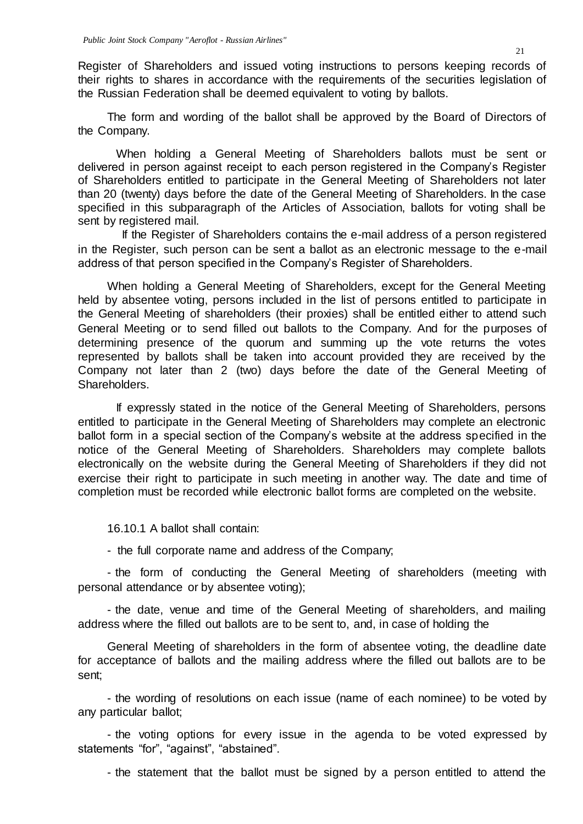Register of Shareholders and issued voting instructions to persons keeping records of their rights to shares in accordance with the requirements of the securities legislation of the Russian Federation shall be deemed equivalent to voting by ballots.

The form and wording of the ballot shall be approved by the Board of Directors of the Company.

When holding a General Meeting of Shareholders ballots must be sent or delivered in person against receipt to each person registered in the Company's Register of Shareholders entitled to participate in the General Meeting of Shareholders not later than 20 (twenty) days before the date of the General Meeting of Shareholders. In the case specified in this subparagraph of the Articles of Association, ballots for voting shall be sent by registered mail.

If the Register of Shareholders contains the e-mail address of a person registered in the Register, such person can be sent a ballot as an electronic message to the e-mail address of that person specified in the Company's Register of Shareholders.

When holding a General Meeting of Shareholders, except for the General Meeting held by absentee voting, persons included in the list of persons entitled to participate in the General Meeting of shareholders (their proxies) shall be entitled either to attend such General Meeting or to send filled out ballots to the Company. And for the purposes of determining presence of the quorum and summing up the vote returns the votes represented by ballots shall be taken into account provided they are received by the Company not later than 2 (two) days before the date of the General Meeting of Shareholders.

If expressly stated in the notice of the General Meeting of Shareholders, persons entitled to participate in the General Meeting of Shareholders may complete an electronic ballot form in a special section of the Company's website at the address specified in the notice of the General Meeting of Shareholders. Shareholders may complete ballots electronically on the website during the General Meeting of Shareholders if they did not exercise their right to participate in such meeting in another way. The date and time of completion must be recorded while electronic ballot forms are completed on the website.

16.10.1 A ballot shall contain:

- the full corporate name and address of the Company;

- the form of conducting the General Meeting of shareholders (meeting with personal attendance or by absentee voting);

- the date, venue and time of the General Meeting of shareholders, and mailing address where the filled out ballots are to be sent to, and, in case of holding the

General Meeting of shareholders in the form of absentee voting, the deadline date for acceptance of ballots and the mailing address where the filled out ballots are to be sent;

- the wording of resolutions on each issue (name of each nominee) to be voted by any particular ballot;

- the voting options for every issue in the agenda to be voted expressed by statements "for", "against", "abstained".

- the statement that the ballot must be signed by a person entitled to attend the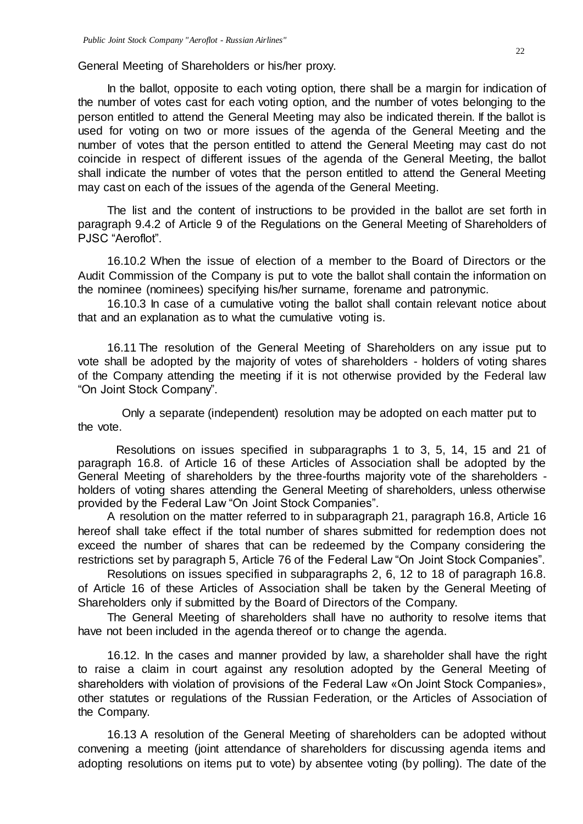General Meeting of Shareholders or his/her proxy.

In the ballot, opposite to each voting option, there shall be a margin for indication of the number of votes cast for each voting option, and the number of votes belonging to the person entitled to attend the General Meeting may also be indicated therein. If the ballot is used for voting on two or more issues of the agenda of the General Meeting and the number of votes that the person entitled to attend the General Meeting may cast do not coincide in respect of different issues of the agenda of the General Meeting, the ballot shall indicate the number of votes that the person entitled to attend the General Meeting may cast on each of the issues of the agenda of the General Meeting.

The list and the content of instructions to be provided in the ballot are set forth in paragraph 9.4.2 of Article 9 of the Regulations on the General Meeting of Shareholders of PJSC "Aeroflot".

16.10.2 When the issue of election of a member to the Board of Directors or the Audit Commission of the Company is put to vote the ballot shall contain the information on the nominee (nominees) specifying his/her surname, forename and patronymic.

16.10.3 In case of a cumulative voting the ballot shall contain relevant notice about that and an explanation as to what the cumulative voting is.

16.11 The resolution of the General Meeting of Shareholders on any issue put to vote shall be adopted by the majority of votes of shareholders - holders of voting shares of the Company attending the meeting if it is not otherwise provided by the Federal law "On Joint Stock Company".

Only a separate (independent) resolution may be adopted on each matter put to the vote.

Resolutions on issues specified in subparagraphs 1 to 3, 5, 14, 15 and 21 of paragraph 16.8. of Article 16 of these Articles of Association shall be adopted by the General Meeting of shareholders by the three-fourths majority vote of the shareholders holders of voting shares attending the General Meeting of shareholders, unless otherwise provided by the Federal Law "On Joint Stock Companies".

A resolution on the matter referred to in subparagraph 21, paragraph 16.8, Article 16 hereof shall take effect if the total number of shares submitted for redemption does not exceed the number of shares that can be redeemed by the Company considering the restrictions set by paragraph 5, Article 76 of the Federal Law "On Joint Stock Companies".

Resolutions on issues specified in subparagraphs 2, 6, 12 to 18 of paragraph 16.8. of Article 16 of these Articles of Association shall be taken by the General Meeting of Shareholders only if submitted by the Board of Directors of the Company.

The General Meeting of shareholders shall have no authority to resolve items that have not been included in the agenda thereof or to change the agenda.

16.12. In the cases and manner provided by law, a shareholder shall have the right to raise a claim in court against any resolution adopted by the General Meeting of shareholders with violation of provisions of the Federal Law «On Joint Stock Companies», other statutes or regulations of the Russian Federation, or the Articles of Association of the Company.

16.13 A resolution of the General Meeting of shareholders can be adopted without convening a meeting (joint attendance of shareholders for discussing agenda items and adopting resolutions on items put to vote) by absentee voting (by polling). The date of the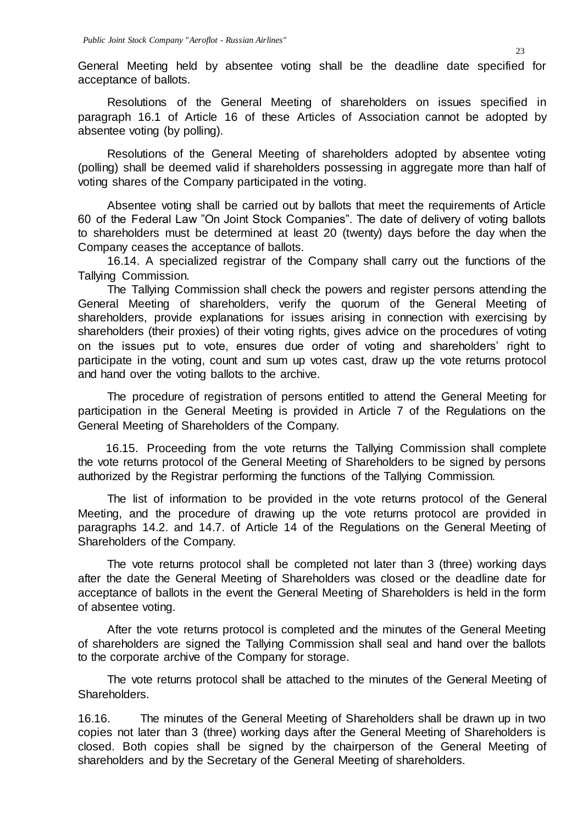General Meeting held by absentee voting shall be the deadline date specified for acceptance of ballots.

Resolutions of the General Meeting of shareholders on issues specified in paragraph 16.1 of Article 16 of these Articles of Association cannot be adopted by absentee voting (by polling).

Resolutions of the General Meeting of shareholders adopted by absentee voting (polling) shall be deemed valid if shareholders possessing in aggregate more than half of voting shares of the Company participated in the voting.

Absentee voting shall be carried out by ballots that meet the requirements of Article 60 of the Federal Law "On Joint Stock Companies". The date of delivery of voting ballots to shareholders must be determined at least 20 (twenty) days before the day when the Company ceases the acceptance of ballots.

16.14. A specialized registrar of the Company shall carry out the functions of the Tallying Commission.

The Tallying Commission shall check the powers and register persons attending the General Meeting of shareholders, verify the quorum of the General Meeting of shareholders, provide explanations for issues arising in connection with exercising by shareholders (their proxies) of their voting rights, gives advice on the procedures of voting on the issues put to vote, ensures due order of voting and shareholders' right to participate in the voting, count and sum up votes cast, draw up the vote returns protocol and hand over the voting ballots to the archive.

The procedure of registration of persons entitled to attend the General Meeting for participation in the General Meeting is provided in Article 7 of the Regulations on the General Meeting of Shareholders of the Company.

16.15. Proceeding from the vote returns the Tallying Commission shall complete the vote returns protocol of the General Meeting of Shareholders to be signed by persons authorized by the Registrar performing the functions of the Tallying Commission.

The list of information to be provided in the vote returns protocol of the General Meeting, and the procedure of drawing up the vote returns protocol are provided in paragraphs 14.2. and 14.7. of Article 14 of the Regulations on the General Meeting of Shareholders of the Company.

The vote returns protocol shall be completed not later than 3 (three) working days after the date the General Meeting of Shareholders was closed or the deadline date for acceptance of ballots in the event the General Meeting of Shareholders is held in the form of absentee voting.

After the vote returns protocol is completed and the minutes of the General Meeting of shareholders are signed the Tallying Commission shall seal and hand over the ballots to the corporate archive of the Company for storage.

The vote returns protocol shall be attached to the minutes of the General Meeting of Shareholders.

16.16. The minutes of the General Meeting of Shareholders shall be drawn up in two copies not later than 3 (three) working days after the General Meeting of Shareholders is closed. Both copies shall be signed by the chairperson of the General Meeting of shareholders and by the Secretary of the General Meeting of shareholders.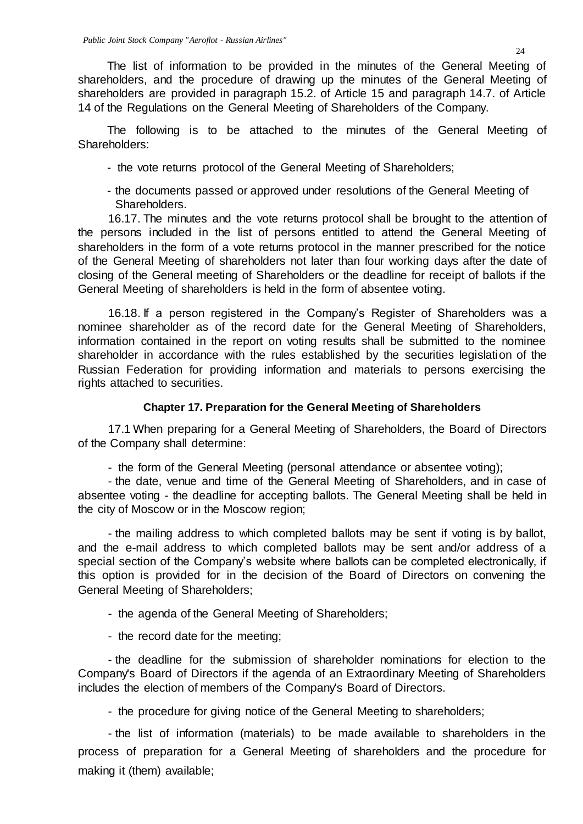The list of information to be provided in the minutes of the General Meeting of shareholders, and the procedure of drawing up the minutes of the General Meeting of shareholders are provided in paragraph 15.2. of Article 15 and paragraph 14.7. of Article 14 of the Regulations on the General Meeting of Shareholders of the Company.

The following is to be attached to the minutes of the General Meeting of Shareholders:

- the vote returns protocol of the General Meeting of Shareholders;
- the documents passed or approved under resolutions of the General Meeting of Shareholders.

16.17. The minutes and the vote returns protocol shall be brought to the attention of the persons included in the list of persons entitled to attend the General Meeting of shareholders in the form of a vote returns protocol in the manner prescribed for the notice of the General Meeting of shareholders not later than four working days after the date of closing of the General meeting of Shareholders or the deadline for receipt of ballots if the General Meeting of shareholders is held in the form of absentee voting.

16.18. If a person registered in the Company's Register of Shareholders was a nominee shareholder as of the record date for the General Meeting of Shareholders, information contained in the report on voting results shall be submitted to the nominee shareholder in accordance with the rules established by the securities legislation of the Russian Federation for providing information and materials to persons exercising the rights attached to securities.

## **Chapter 17. Preparation for the General Meeting of Shareholders**

17.1 When preparing for a General Meeting of Shareholders, the Board of Directors of the Company shall determine:

- the form of the General Meeting (personal attendance or absentee voting);

- the date, venue and time of the General Meeting of Shareholders, and in case of absentee voting - the deadline for accepting ballots. The General Meeting shall be held in the city of Moscow or in the Moscow region;

- the mailing address to which completed ballots may be sent if voting is by ballot, and the e-mail address to which completed ballots may be sent and/or address of a special section of the Company's website where ballots can be completed electronically, if this option is provided for in the decision of the Board of Directors on convening the General Meeting of Shareholders;

- the agenda of the General Meeting of Shareholders;
- the record date for the meeting;

- the deadline for the submission of shareholder nominations for election to the Company's Board of Directors if the agenda of an Extraordinary Meeting of Shareholders includes the election of members of the Company's Board of Directors.

- the procedure for giving notice of the General Meeting to shareholders;

- the list of information (materials) to be made available to shareholders in the process of preparation for a General Meeting of shareholders and the procedure for making it (them) available;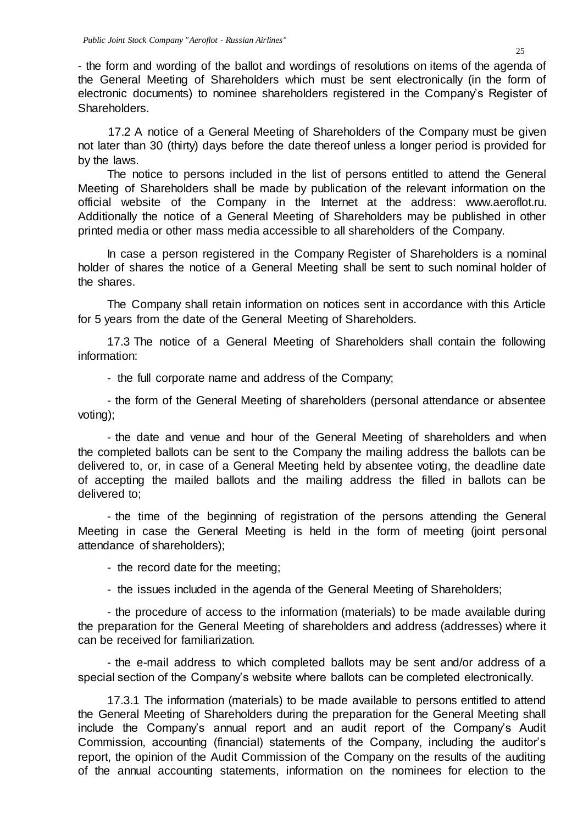- the form and wording of the ballot and wordings of resolutions on items of the agenda of the General Meeting of Shareholders which must be sent electronically (in the form of electronic documents) to nominee shareholders registered in the Company's Register of Shareholders.

17.2 A notice of a General Meeting of Shareholders of the Company must be given not later than 30 (thirty) days before the date thereof unless a longer period is provided for by the laws.

The notice to persons included in the list of persons entitled to attend the General Meeting of Shareholders shall be made by publication of the relevant information on the official website of the Company in the Internet at the address: [www.aeroflot.ru.](http://www.aeroflot.ru/) Additionally the notice of a General Meeting of Shareholders may be published in other printed media or other mass media accessible to all shareholders of the Company.

In case a person registered in the Company Register of Shareholders is a nominal holder of shares the notice of a General Meeting shall be sent to such nominal holder of the shares.

The Company shall retain information on notices sent in accordance with this Article for 5 years from the date of the General Meeting of Shareholders.

17.3 The notice of a General Meeting of Shareholders shall contain the following information:

- the full corporate name and address of the Company;

- the form of the General Meeting of shareholders (personal attendance or absentee voting);

- the date and venue and hour of the General Meeting of shareholders and when the completed ballots can be sent to the Company the mailing address the ballots can be delivered to, or, in case of a General Meeting held by absentee voting, the deadline date of accepting the mailed ballots and the mailing address the filled in ballots can be delivered to;

- the time of the beginning of registration of the persons attending the General Meeting in case the General Meeting is held in the form of meeting (joint personal attendance of shareholders);

- the record date for the meeting;

- the issues included in the agenda of the General Meeting of Shareholders;

- the procedure of access to the information (materials) to be made available during the preparation for the General Meeting of shareholders and address (addresses) where it can be received for familiarization.

- the e-mail address to which completed ballots may be sent and/or address of a special section of the Company's website where ballots can be completed electronically.

17.3.1 The information (materials) to be made available to persons entitled to attend the General Meeting of Shareholders during the preparation for the General Meeting shall include the Company's annual report and an audit report of the Company's Audit Commission, accounting (financial) statements of the Company, including the auditor's report, the opinion of the Audit Commission of the Company on the results of the auditing of the annual accounting statements, information on the nominees for election to the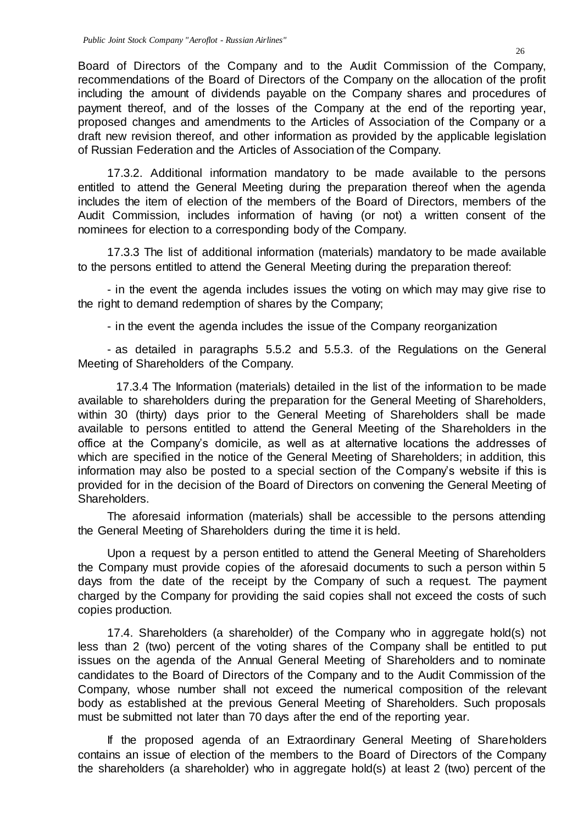Board of Directors of the Company and to the Audit Commission of the Company, recommendations of the Board of Directors of the Company on the allocation of the profit including the amount of dividends payable on the Company shares and procedures of payment thereof, and of the losses of the Company at the end of the reporting year, proposed changes and amendments to the Articles of Association of the Company or a draft new revision thereof, and other information as provided by the applicable legislation of Russian Federation and the Articles of Association of the Company.

17.3.2. Additional information mandatory to be made available to the persons entitled to attend the General Meeting during the preparation thereof when the agenda includes the item of election of the members of the Board of Directors, members of the Audit Commission, includes information of having (or not) a written consent of the nominees for election to a corresponding body of the Company.

17.3.3 The list of additional information (materials) mandatory to be made available to the persons entitled to attend the General Meeting during the preparation thereof:

- in the event the agenda includes issues the voting on which may may give rise to the right to demand redemption of shares by the Company;

- in the event the agenda includes the issue of the Company reorganization

- as detailed in paragraphs 5.5.2 and 5.5.3. of the Regulations on the General Meeting of Shareholders of the Company.

17.3.4 The Information (materials) detailed in the list of the information to be made available to shareholders during the preparation for the General Meeting of Shareholders, within 30 (thirty) days prior to the General Meeting of Shareholders shall be made available to persons entitled to attend the General Meeting of the Shareholders in the office at the Company's domicile, as well as at alternative locations the addresses of which are specified in the notice of the General Meeting of Shareholders; in addition, this information may also be posted to a special section of the Company's website if this is provided for in the decision of the Board of Directors on convening the General Meeting of Shareholders.

The aforesaid information (materials) shall be accessible to the persons attending the General Meeting of Shareholders during the time it is held.

Upon a request by a person entitled to attend the General Meeting of Shareholders the Company must provide copies of the aforesaid documents to such a person within 5 days from the date of the receipt by the Company of such a request. The payment charged by the Company for providing the said copies shall not exceed the costs of such copies production.

17.4. Shareholders (a shareholder) of the Company who in aggregate hold(s) not less than 2 (two) percent of the voting shares of the Company shall be entitled to put issues on the agenda of the Annual General Meeting of Shareholders and to nominate candidates to the Board of Directors of the Company and to the Audit Commission of the Company, whose number shall not exceed the numerical composition of the relevant body as established at the previous General Meeting of Shareholders. Such proposals must be submitted not later than 70 days after the end of the reporting year.

If the proposed agenda of an Extraordinary General Meeting of Shareholders contains an issue of election of the members to the Board of Directors of the Company the shareholders (a shareholder) who in aggregate hold(s) at least 2 (two) percent of the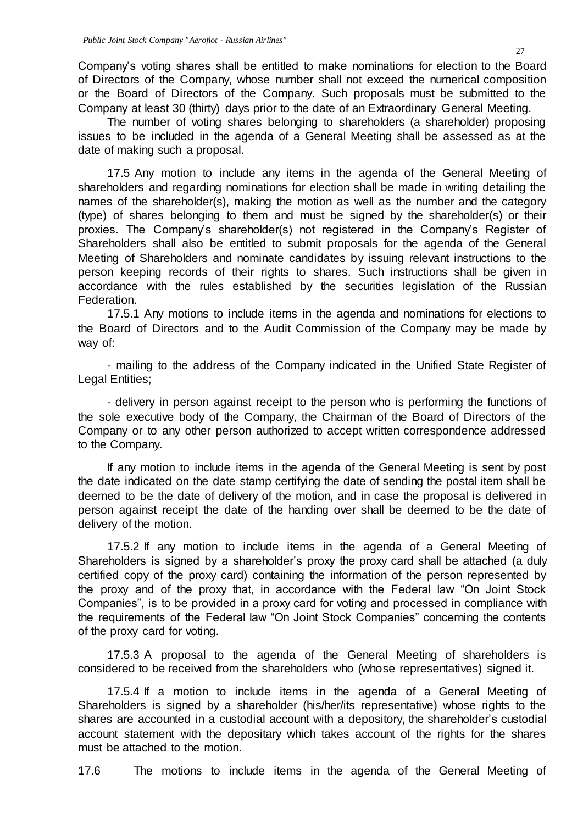Company's voting shares shall be entitled to make nominations for election to the Board of Directors of the Company, whose number shall not exceed the numerical composition or the Board of Directors of the Company. Such proposals must be submitted to the Company at least 30 (thirty) days prior to the date of an Extraordinary General Meeting.

The number of voting shares belonging to shareholders (a shareholder) proposing issues to be included in the agenda of a General Meeting shall be assessed as at the date of making such a proposal.

17.5 Any motion to include any items in the agenda of the General Meeting of shareholders and regarding nominations for election shall be made in writing detailing the names of the shareholder(s), making the motion as well as the number and the category (type) of shares belonging to them and must be signed by the shareholder(s) or their proxies. The Company's shareholder(s) not registered in the Company's Register of Shareholders shall also be entitled to submit proposals for the agenda of the General Meeting of Shareholders and nominate candidates by issuing relevant instructions to the person keeping records of their rights to shares. Such instructions shall be given in accordance with the rules established by the securities legislation of the Russian Federation.

17.5.1 Any motions to include items in the agenda and nominations for elections to the Board of Directors and to the Audit Commission of the Company may be made by way of:

- mailing to the address of the Company indicated in the Unified State Register of Legal Entities;

- delivery in person against receipt to the person who is performing the functions of the sole executive body of the Company, the Chairman of the Board of Directors of the Company or to any other person authorized to accept written correspondence addressed to the Company.

If any motion to include items in the agenda of the General Meeting is sent by post the date indicated on the date stamp certifying the date of sending the postal item shall be deemed to be the date of delivery of the motion, and in case the proposal is delivered in person against receipt the date of the handing over shall be deemed to be the date of delivery of the motion.

17.5.2 If any motion to include items in the agenda of a General Meeting of Shareholders is signed by a shareholder's proxy the proxy card shall be attached (a duly certified copy of the proxy card) containing the information of the person represented by the proxy and of the proxy that, in accordance with the Federal law "On Joint Stock Companies", is to be provided in a proxy card for voting and processed in compliance with the requirements of the Federal law "On Joint Stock Companies" concerning the contents of the proxy card for voting.

17.5.3 A proposal to the agenda of the General Meeting of shareholders is considered to be received from the shareholders who (whose representatives) signed it.

17.5.4 If a motion to include items in the agenda of a General Meeting of Shareholders is signed by a shareholder (his/her/its representative) whose rights to the shares are accounted in a custodial account with a depository, the shareholder's custodial account statement with the depositary which takes account of the rights for the shares must be attached to the motion.

17.6 The motions to include items in the agenda of the General Meeting of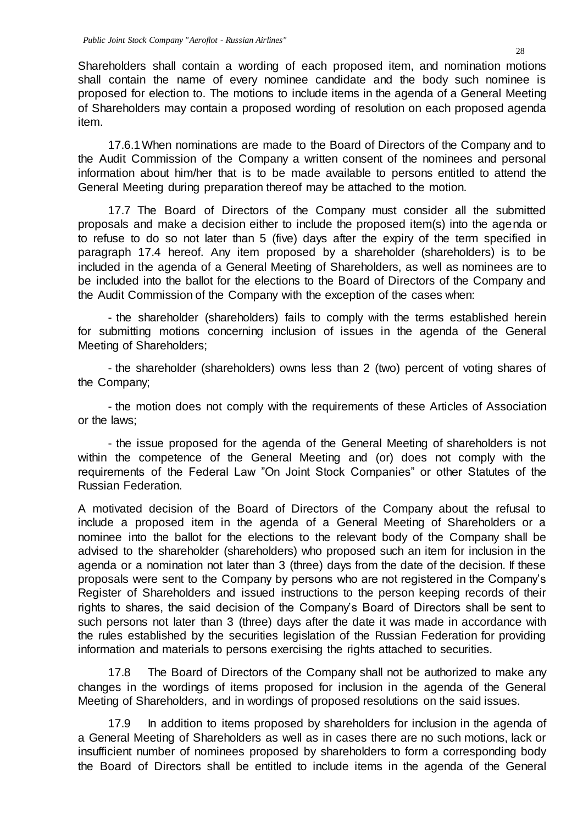Shareholders shall contain a wording of each proposed item, and nomination motions shall contain the name of every nominee candidate and the body such nominee is proposed for election to. The motions to include items in the agenda of a General Meeting of Shareholders may contain a proposed wording of resolution on each proposed agenda item.

17.6.1When nominations are made to the Board of Directors of the Company and to the Audit Commission of the Company a written consent of the nominees and personal information about him/her that is to be made available to persons entitled to attend the General Meeting during preparation thereof may be attached to the motion.

17.7 The Board of Directors of the Company must consider all the submitted proposals and make a decision either to include the proposed item(s) into the agenda or to refuse to do so not later than 5 (five) days after the expiry of the term specified in paragraph 17.4 hereof. Any item proposed by a shareholder (shareholders) is to be included in the agenda of a General Meeting of Shareholders, as well as nominees are to be included into the ballot for the elections to the Board of Directors of the Company and the Audit Commission of the Company with the exception of the cases when:

- the shareholder (shareholders) fails to comply with the terms established herein for submitting motions concerning inclusion of issues in the agenda of the General Meeting of Shareholders;

- the shareholder (shareholders) owns less than 2 (two) percent of voting shares of the Company;

- the motion does not comply with the requirements of these Articles of Association or the laws;

- the issue proposed for the agenda of the General Meeting of shareholders is not within the competence of the General Meeting and (or) does not comply with the requirements of the Federal Law "On Joint Stock Companies" or other Statutes of the Russian Federation.

A motivated decision of the Board of Directors of the Company about the refusal to include a proposed item in the agenda of a General Meeting of Shareholders or a nominee into the ballot for the elections to the relevant body of the Company shall be advised to the shareholder (shareholders) who proposed such an item for inclusion in the agenda or a nomination not later than 3 (three) days from the date of the decision. If these proposals were sent to the Company by persons who are not registered in the Company's Register of Shareholders and issued instructions to the person keeping records of their rights to shares, the said decision of the Company's Board of Directors shall be sent to such persons not later than 3 (three) days after the date it was made in accordance with the rules established by the securities legislation of the Russian Federation for providing information and materials to persons exercising the rights attached to securities.

17.8 The Board of Directors of the Company shall not be authorized to make any changes in the wordings of items proposed for inclusion in the agenda of the General Meeting of Shareholders, and in wordings of proposed resolutions on the said issues.

17.9 In addition to items proposed by shareholders for inclusion in the agenda of a General Meeting of Shareholders as well as in cases there are no such motions, lack or insufficient number of nominees proposed by shareholders to form a corresponding body the Board of Directors shall be entitled to include items in the agenda of the General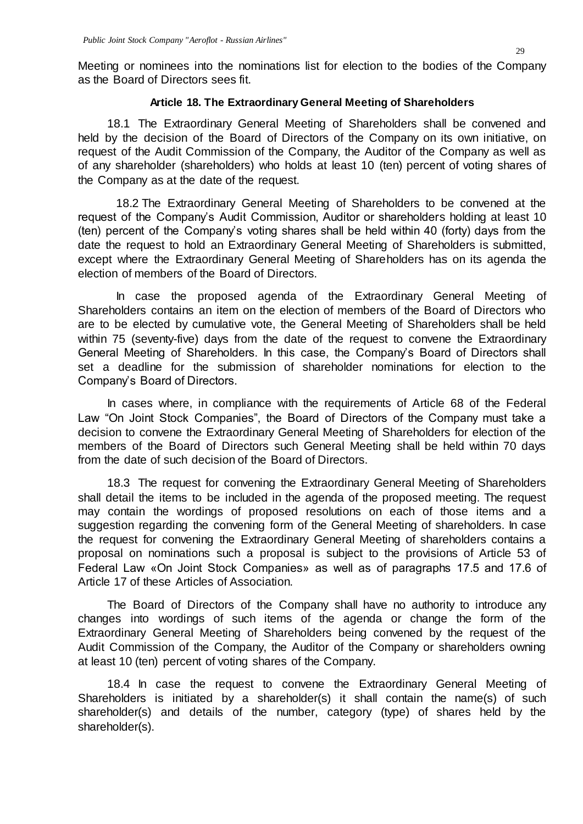Meeting or nominees into the nominations list for election to the bodies of the Company as the Board of Directors sees fit.

### **Article 18. The Extraordinary General Meeting of Shareholders**

18.1 The Extraordinary General Meeting of Shareholders shall be convened and held by the decision of the Board of Directors of the Company on its own initiative, on request of the Audit Commission of the Company, the Auditor of the Company as well as of any shareholder (shareholders) who holds at least 10 (ten) percent of voting shares of the Company as at the date of the request.

18.2 The Extraordinary General Meeting of Shareholders to be convened at the request of the Company's Audit Commission, Auditor or shareholders holding at least 10 (ten) percent of the Company's voting shares shall be held within 40 (forty) days from the date the request to hold an Extraordinary General Meeting of Shareholders is submitted, except where the Extraordinary General Meeting of Shareholders has on its agenda the election of members of the Board of Directors.

In case the proposed agenda of the Extraordinary General Meeting of Shareholders contains an item on the election of members of the Board of Directors who are to be elected by cumulative vote, the General Meeting of Shareholders shall be held within 75 (seventy-five) days from the date of the request to convene the Extraordinary General Meeting of Shareholders. In this case, the Company's Board of Directors shall set a deadline for the submission of shareholder nominations for election to the Company's Board of Directors.

In cases where, in compliance with the requirements of Article 68 of the Federal Law "On Joint Stock Companies", the Board of Directors of the Company must take a decision to convene the Extraordinary General Meeting of Shareholders for election of the members of the Board of Directors such General Meeting shall be held within 70 days from the date of such decision of the Board of Directors.

18.3 The request for convening the Extraordinary General Meeting of Shareholders shall detail the items to be included in the agenda of the proposed meeting. The request may contain the wordings of proposed resolutions on each of those items and a suggestion regarding the convening form of the General Meeting of shareholders. In case the request for convening the Extraordinary General Meeting of shareholders contains a proposal on nominations such a proposal is subject to the provisions of Article 53 of Federal Law «On Joint Stock Companies» as well as of paragraphs 17.5 and 17.6 of Article 17 of these Articles of Association.

The Board of Directors of the Company shall have no authority to introduce any changes into wordings of such items of the agenda or change the form of the Extraordinary General Meeting of Shareholders being convened by the request of the Audit Commission of the Company, the Auditor of the Company or shareholders owning at least 10 (ten) percent of voting shares of the Company.

18.4 In case the request to convene the Extraordinary General Meeting of Shareholders is initiated by a shareholder(s) it shall contain the name(s) of such shareholder(s) and details of the number, category (type) of shares held by the shareholder(s).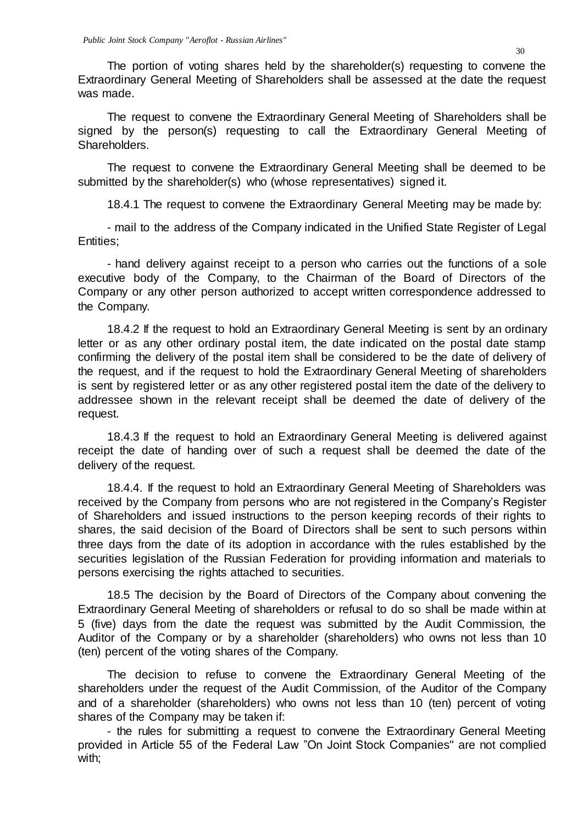The portion of voting shares held by the shareholder(s) requesting to convene the Extraordinary General Meeting of Shareholders shall be assessed at the date the request was made.

The request to convene the Extraordinary General Meeting of Shareholders shall be signed by the person(s) requesting to call the Extraordinary General Meeting of Shareholders.

The request to convene the Extraordinary General Meeting shall be deemed to be submitted by the shareholder(s) who (whose representatives) signed it.

18.4.1 The request to convene the Extraordinary General Meeting may be made by:

- mail to the address of the Company indicated in the Unified State Register of Legal Entities;

- hand delivery against receipt to a person who carries out the functions of a sole executive body of the Company, to the Chairman of the Board of Directors of the Company or any other person authorized to accept written correspondence addressed to the Company.

18.4.2 If the request to hold an Extraordinary General Meeting is sent by an ordinary letter or as any other ordinary postal item, the date indicated on the postal date stamp confirming the delivery of the postal item shall be considered to be the date of delivery of the request, and if the request to hold the Extraordinary General Meeting of shareholders is sent by registered letter or as any other registered postal item the date of the delivery to addressee shown in the relevant receipt shall be deemed the date of delivery of the request.

18.4.3 If the request to hold an Extraordinary General Meeting is delivered against receipt the date of handing over of such a request shall be deemed the date of the delivery of the request.

18.4.4. If the request to hold an Extraordinary General Meeting of Shareholders was received by the Company from persons who are not registered in the Company's Register of Shareholders and issued instructions to the person keeping records of their rights to shares, the said decision of the Board of Directors shall be sent to such persons within three days from the date of its adoption in accordance with the rules established by the securities legislation of the Russian Federation for providing information and materials to persons exercising the rights attached to securities.

18.5 The decision by the Board of Directors of the Company about convening the Extraordinary General Meeting of shareholders or refusal to do so shall be made within at 5 (five) days from the date the request was submitted by the Audit Commission, the Auditor of the Company or by a shareholder (shareholders) who owns not less than 10 (ten) percent of the voting shares of the Company.

The decision to refuse to convene the Extraordinary General Meeting of the shareholders under the request of the Audit Commission, of the Auditor of the Company and of a shareholder (shareholders) who owns not less than 10 (ten) percent of voting shares of the Company may be taken if:

- the rules for submitting a request to convene the Extraordinary General Meeting provided in Article 55 of the Federal Law "On Joint Stock Companies" are not complied with;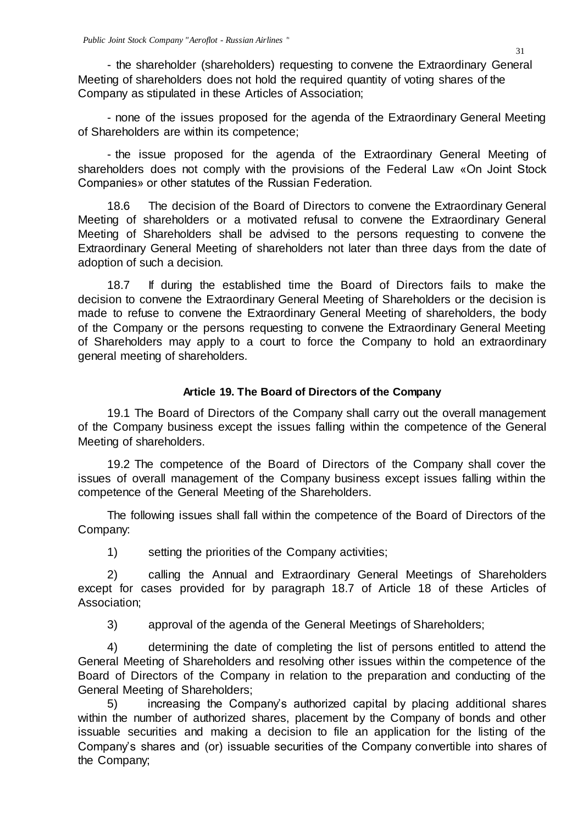- the shareholder (shareholders) requesting to convene the Extraordinary General Meeting of shareholders does not hold the required quantity of voting shares of the Company as stipulated in these Articles of Association;

- none of the issues proposed for the agenda of the Extraordinary General Meeting of Shareholders are within its competence;

- the issue proposed for the agenda of the Extraordinary General Meeting of shareholders does not comply with the provisions of the Federal Law «On Joint Stock Companies» or other statutes of the Russian Federation.

18.6 The decision of the Board of Directors to convene the Extraordinary General Meeting of shareholders or a motivated refusal to convene the Extraordinary General Meeting of Shareholders shall be advised to the persons requesting to convene the Extraordinary General Meeting of shareholders not later than three days from the date of adoption of such a decision.

18.7 If during the established time the Board of Directors fails to make the decision to convene the Extraordinary General Meeting of Shareholders or the decision is made to refuse to convene the Extraordinary General Meeting of shareholders, the body of the Company or the persons requesting to convene the Extraordinary General Meeting of Shareholders may apply to a court to force the Company to hold an extraordinary general meeting of shareholders.

## **Article 19. The Board of Directors of the Company**

19.1 The Board of Directors of the Company shall carry out the overall management of the Company business except the issues falling within the competence of the General Meeting of shareholders.

19.2 The competence of the Board of Directors of the Company shall cover the issues of overall management of the Company business except issues falling within the competence of the General Meeting of the Shareholders.

The following issues shall fall within the competence of the Board of Directors of the Company:

1) setting the priorities of the Company activities;

2) calling the Annual and Extraordinary General Meetings of Shareholders except for cases provided for by paragraph 18.7 of Article 18 of these Articles of Association;

3) approval of the agenda of the General Meetings of Shareholders;

4) determining the date of completing the list of persons entitled to attend the General Meeting of Shareholders and resolving other issues within the competence of the Board of Directors of the Company in relation to the preparation and conducting of the General Meeting of Shareholders;

5) increasing the Company's authorized capital by placing additional shares within the number of authorized shares, placement by the Company of bonds and other issuable securities and making a decision to file an application for the listing of the Company's shares and (or) issuable securities of the Company convertible into shares of the Company;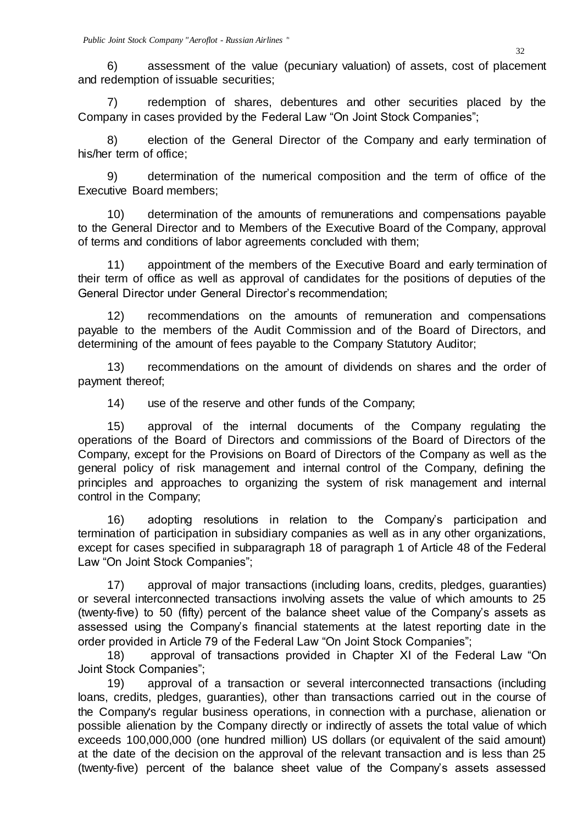6) assessment of the value (pecuniary valuation) of assets, cost of placement and redemption of issuable securities;

7) redemption of shares, debentures and other securities placed by the Company in cases provided by the Federal Law "On Joint Stock Companies";

8) election of the General Director of the Company and early termination of his/her term of office;

9) determination of the numerical composition and the term of office of the Executive Board members;

10) determination of the amounts of remunerations and compensations payable to the General Director and to Members of the Executive Board of the Company, approval of terms and conditions of labor agreements concluded with them;

11) appointment of the members of the Executive Board and early termination of their term of office as well as approval of candidates for the positions of deputies of the General Director under General Director's recommendation;

12) recommendations on the amounts of remuneration and compensations payable to the members of the Audit Commission and of the Board of Directors, and determining of the amount of fees payable to the Company Statutory Auditor;

13) recommendations on the amount of dividends on shares and the order of payment thereof;

14) use of the reserve and other funds of the Company;

15) approval of the internal documents of the Company regulating the operations of the Board of Directors and commissions of the Board of Directors of the Company, except for the Provisions on Board of Directors of the Company as well as the general policy of risk management and internal control of the Company, defining the principles and approaches to organizing the system of risk management and internal control in the Company;

16) adopting resolutions in relation to the Company's participation and termination of participation in subsidiary companies as well as in any other organizations, except for cases specified in subparagraph 18 of paragraph 1 of Article 48 of the Federal Law "On Joint Stock Companies";

17) approval of major transactions (including loans, credits, pledges, guaranties) or several interconnected transactions involving assets the value of which amounts to 25 (twenty-five) to 50 (fifty) percent of the balance sheet value of the Company's assets as assessed using the Company's financial statements at the latest reporting date in the order provided in Article 79 of the Federal Law "On Joint Stock Companies";

18) approval of transactions provided in Chapter XI of the Federal Law "On Joint Stock Companies";

19) approval of a transaction or several interconnected transactions (including loans, credits, pledges, guaranties), other than transactions carried out in the course of the Company's regular business operations, in connection with a purchase, alienation or possible alienation by the Company directly or indirectly of assets the total value of which exceeds 100,000,000 (one hundred million) US dollars (or equivalent of the said amount) at the date of the decision on the approval of the relevant transaction and is less than 25 (twenty-five) percent of the balance sheet value of the Company's assets assessed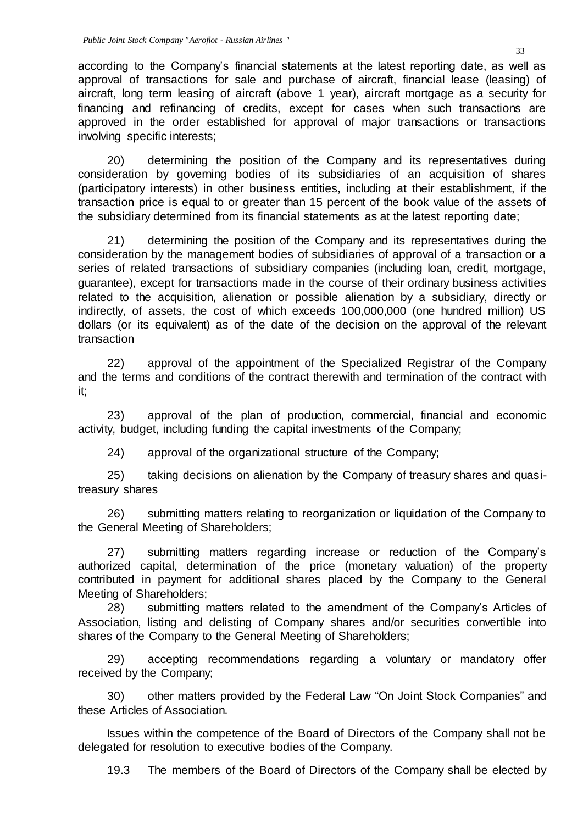according to the Company's financial statements at the latest reporting date, as well as approval of transactions for sale and purchase of aircraft, financial lease (leasing) of aircraft, long term leasing of aircraft (above 1 year), aircraft mortgage as a security for financing and refinancing of credits, except for cases when such transactions are approved in the order established for approval of major transactions or transactions involving specific interests;

20) determining the position of the Company and its representatives during consideration by governing bodies of its subsidiaries of an acquisition of shares (participatory interests) in other business entities, including at their establishment, if the transaction price is equal to or greater than 15 percent of the book value of the assets of the subsidiary determined from its financial statements as at the latest reporting date;

21) determining the position of the Company and its representatives during the consideration by the management bodies of subsidiaries of approval of a transaction or a series of related transactions of subsidiary companies (including loan, credit, mortgage, guarantee), except for transactions made in the course of their ordinary business activities related to the acquisition, alienation or possible alienation by a subsidiary, directly or indirectly, of assets, the cost of which exceeds 100,000,000 (one hundred million) US dollars (or its equivalent) as of the date of the decision on the approval of the relevant transaction

22) approval of the appointment of the Specialized Registrar of the Company and the terms and conditions of the contract therewith and termination of the contract with it;

23) approval of the plan of production, commercial, financial and economic activity, budget, including funding the capital investments of the Company;

24) approval of the organizational structure of the Company;

25) taking decisions on alienation by the Company of treasury shares and quasitreasury shares

26) submitting matters relating to reorganization or liquidation of the Company to the General Meeting of Shareholders;

27) submitting matters regarding increase or reduction of the Company's authorized capital, determination of the price (monetary valuation) of the property contributed in payment for additional shares placed by the Company to the General Meeting of Shareholders;

28) submitting matters related to the amendment of the Company's Articles of Association, listing and delisting of Company shares and/or securities convertible into shares of the Company to the General Meeting of Shareholders;

29) accepting recommendations regarding a voluntary or mandatory offer received by the Company;

30) other matters provided by the Federal Law "On Joint Stock Companies" and these Articles of Association.

Issues within the competence of the Board of Directors of the Company shall not be delegated for resolution to executive bodies of the Company.

19.3 The members of the Board of Directors of the Company shall be elected by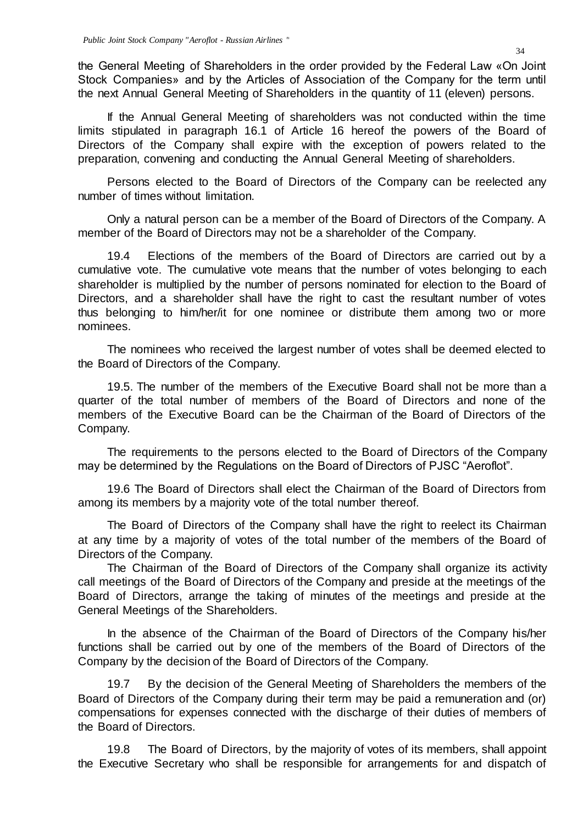the General Meeting of Shareholders in the order provided by the Federal Law «On Joint Stock Companies» and by the Articles of Association of the Company for the term until the next Annual General Meeting of Shareholders in the quantity of 11 (eleven) persons.

If the Annual General Meeting of shareholders was not conducted within the time limits stipulated in paragraph 16.1 of Article 16 hereof the powers of the Board of Directors of the Company shall expire with the exception of powers related to the preparation, convening and conducting the Annual General Meeting of shareholders.

Persons elected to the Board of Directors of the Company can be reelected any number of times without limitation.

Only a natural person can be a member of the Board of Directors of the Company. A member of the Board of Directors may not be a shareholder of the Company.

19.4 Elections of the members of the Board of Directors are carried out by a cumulative vote. The cumulative vote means that the number of votes belonging to each shareholder is multiplied by the number of persons nominated for election to the Board of Directors, and a shareholder shall have the right to cast the resultant number of votes thus belonging to him/her/it for one nominee or distribute them among two or more nominees.

The nominees who received the largest number of votes shall be deemed elected to the Board of Directors of the Company.

19.5. The number of the members of the Executive Board shall not be more than a quarter of the total number of members of the Board of Directors and none of the members of the Executive Board can be the Chairman of the Board of Directors of the Company.

The requirements to the persons elected to the Board of Directors of the Company may be determined by the Regulations on the Board of Directors of PJSC "Aeroflot".

19.6 The Board of Directors shall elect the Chairman of the Board of Directors from among its members by a majority vote of the total number thereof.

The Board of Directors of the Company shall have the right to reelect its Chairman at any time by a majority of votes of the total number of the members of the Board of Directors of the Company.

The Chairman of the Board of Directors of the Company shall organize its activity call meetings of the Board of Directors of the Company and preside at the meetings of the Board of Directors, arrange the taking of minutes of the meetings and preside at the General Meetings of the Shareholders.

In the absence of the Chairman of the Board of Directors of the Company his/her functions shall be carried out by one of the members of the Board of Directors of the Company by the decision of the Board of Directors of the Company.

19.7 By the decision of the General Meeting of Shareholders the members of the Board of Directors of the Company during their term may be paid a remuneration and (or) compensations for expenses connected with the discharge of their duties of members of the Board of Directors.

19.8 The Board of Directors, by the majority of votes of its members, shall appoint the Executive Secretary who shall be responsible for arrangements for and dispatch of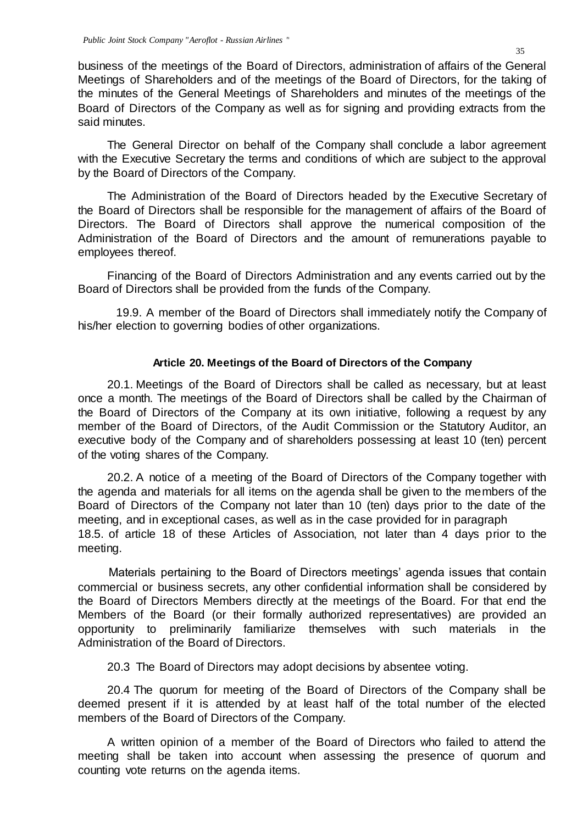business of the meetings of the Board of Directors, administration of affairs of the General Meetings of Shareholders and of the meetings of the Board of Directors, for the taking of the minutes of the General Meetings of Shareholders and minutes of the meetings of the Board of Directors of the Company as well as for signing and providing extracts from the said minutes.

The General Director on behalf of the Company shall conclude a labor agreement with the Executive Secretary the terms and conditions of which are subject to the approval by the Board of Directors of the Company.

The Administration of the Board of Directors headed by the Executive Secretary of the Board of Directors shall be responsible for the management of affairs of the Board of Directors. The Board of Directors shall approve the numerical composition of the Administration of the Board of Directors and the amount of remunerations payable to employees thereof.

Financing of the Board of Directors Administration and any events carried out by the Board of Directors shall be provided from the funds of the Company.

19.9. A member of the Board of Directors shall immediately notify the Company of his/her election to governing bodies of other organizations.

#### **Article 20. Meetings of the Board of Directors of the Company**

20.1. Meetings of the Board of Directors shall be called as necessary, but at least once a month. The meetings of the Board of Directors shall be called by the Chairman of the Board of Directors of the Company at its own initiative, following a request by any member of the Board of Directors, of the Audit Commission or the Statutory Auditor, an executive body of the Company and of shareholders possessing at least 10 (ten) percent of the voting shares of the Company.

20.2. A notice of a meeting of the Board of Directors of the Company together with the agenda and materials for all items on the agenda shall be given to the members of the Board of Directors of the Company not later than 10 (ten) days prior to the date of the meeting, and in exceptional cases, as well as in the case provided for in paragraph 18.5. of article 18 of these Articles of Association, not later than 4 days prior to the meeting.

Materials pertaining to the Board of Directors meetings' agenda issues that contain commercial or business secrets, any other confidential information shall be considered by the Board of Directors Members directly at the meetings of the Board. For that end the Members of the Board (or their formally authorized representatives) are provided an opportunity to preliminarily familiarize themselves with such materials in the Administration of the Board of Directors.

20.3 The Board of Directors may adopt decisions by absentee voting.

20.4 The quorum for meeting of the Board of Directors of the Company shall be deemed present if it is attended by at least half of the total number of the elected members of the Board of Directors of the Company.

A written opinion of a member of the Board of Directors who failed to attend the meeting shall be taken into account when assessing the presence of quorum and counting vote returns on the agenda items.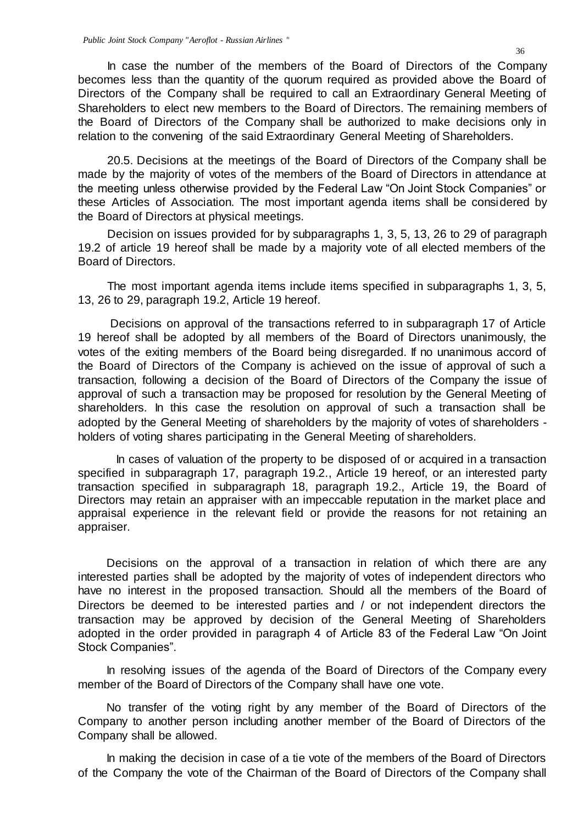In case the number of the members of the Board of Directors of the Company becomes less than the quantity of the quorum required as provided above the Board of Directors of the Company shall be required to call an Extraordinary General Meeting of Shareholders to elect new members to the Board of Directors. The remaining members of the Board of Directors of the Company shall be authorized to make decisions only in relation to the convening of the said Extraordinary General Meeting of Shareholders.

20.5. Decisions at the meetings of the Board of Directors of the Company shall be made by the majority of votes of the members of the Board of Directors in attendance at the meeting unless otherwise provided by the Federal Law "On Joint Stock Companies" or these Articles of Association. The most important agenda items shall be considered by the Board of Directors at physical meetings.

Decision on issues provided for by subparagraphs 1, 3, 5, 13, 26 to 29 of paragraph 19.2 of article 19 hereof shall be made by a majority vote of all elected members of the Board of Directors.

The most important agenda items include items specified in subparagraphs 1, 3, 5, 13, 26 to 29, paragraph 19.2, Article 19 hereof.

Decisions on approval of the transactions referred to in subparagraph 17 of Article 19 hereof shall be adopted by all members of the Board of Directors unanimously, the votes of the exiting members of the Board being disregarded. If no unanimous accord of the Board of Directors of the Company is achieved on the issue of approval of such a transaction, following a decision of the Board of Directors of the Company the issue of approval of such a transaction may be proposed for resolution by the General Meeting of shareholders. In this case the resolution on approval of such a transaction shall be adopted by the General Meeting of shareholders by the majority of votes of shareholders holders of voting shares participating in the General Meeting of shareholders.

In cases of valuation of the property to be disposed of or acquired in a transaction specified in subparagraph 17, paragraph 19.2., Article 19 hereof, or an interested party transaction specified in subparagraph 18, paragraph 19.2., Article 19, the Board of Directors may retain an appraiser with an impeccable reputation in the market place and appraisal experience in the relevant field or provide the reasons for not retaining an appraiser.

Decisions on the approval of a transaction in relation of which there are any interested parties shall be adopted by the majority of votes of independent directors who have no interest in the proposed transaction. Should all the members of the Board of Directors be deemed to be interested parties and / or not independent directors the transaction may be approved by decision of the General Meeting of Shareholders adopted in the order provided in paragraph 4 of Article 83 of the Federal Law "On Joint Stock Companies".

In resolving issues of the agenda of the Board of Directors of the Company every member of the Board of Directors of the Company shall have one vote.

No transfer of the voting right by any member of the Board of Directors of the Company to another person including another member of the Board of Directors of the Company shall be allowed.

In making the decision in case of a tie vote of the members of the Board of Directors of the Company the vote of the Chairman of the Board of Directors of the Company shall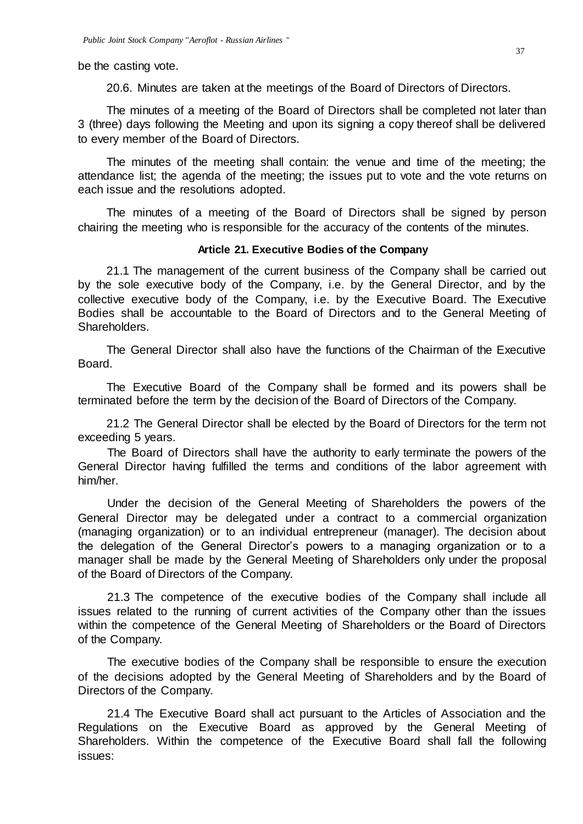be the casting vote.

20.6. Minutes are taken at the meetings of the Board of Directors of Directors.

The minutes of a meeting of the Board of Directors shall be completed not later than 3 (three) days following the Meeting and upon its signing a copy thereof shall be delivered to every member of the Board of Directors.

The minutes of the meeting shall contain: the venue and time of the meeting; the attendance list; the agenda of the meeting; the issues put to vote and the vote returns on each issue and the resolutions adopted.

The minutes of a meeting of the Board of Directors shall be signed by person chairing the meeting who is responsible for the accuracy of the contents of the minutes.

## **Article 21. Executive Bodies of the Company**

21.1 The management of the current business of the Company shall be carried out by the sole executive body of the Company, i.e. by the General Director, and by the collective executive body of the Company, i.e. by the Executive Board. The Executive Bodies shall be accountable to the Board of Directors and to the General Meeting of Shareholders.

The General Director shall also have the functions of the Chairman of the Executive Board.

The Executive Board of the Company shall be formed and its powers shall be terminated before the term by the decision of the Board of Directors of the Company.

21.2 The General Director shall be elected by the Board of Directors for the term not exceeding 5 years.

The Board of Directors shall have the authority to early terminate the powers of the General Director having fulfilled the terms and conditions of the labor agreement with him/her.

Under the decision of the General Meeting of Shareholders the powers of the General Director may be delegated under a contract to a commercial organization (managing organization) or to an individual entrepreneur (manager). The decision about the delegation of the General Director's powers to a managing organization or to a manager shall be made by the General Meeting of Shareholders only under the proposal of the Board of Directors of the Company.

21.3 The competence of the executive bodies of the Company shall include all issues related to the running of current activities of the Company other than the issues within the competence of the General Meeting of Shareholders or the Board of Directors of the Company.

The executive bodies of the Company shall be responsible to ensure the execution of the decisions adopted by the General Meeting of Shareholders and by the Board of Directors of the Company.

21.4 The Executive Board shall act pursuant to the Articles of Association and the Regulations on the Executive Board as approved by the General Meeting of Shareholders. Within the competence of the Executive Board shall fall the following issues: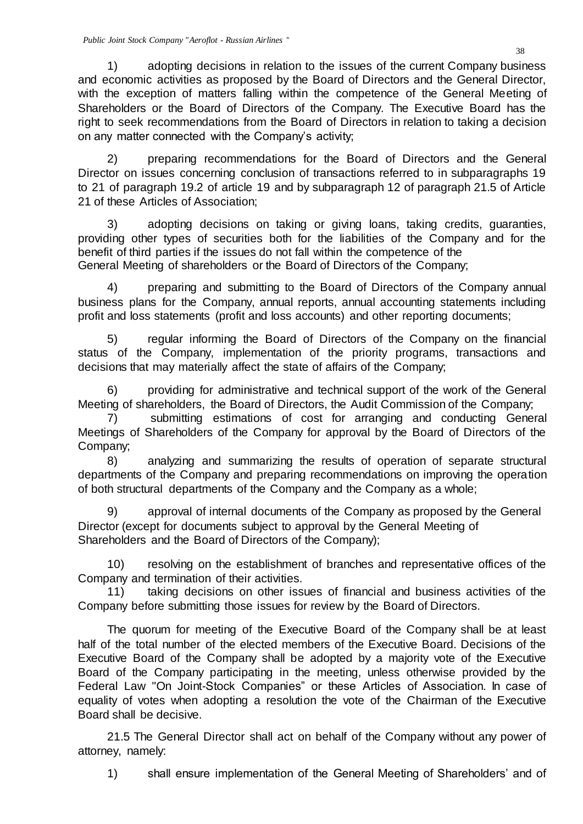1) adopting decisions in relation to the issues of the current Company business and economic activities as proposed by the Board of Directors and the General Director, with the exception of matters falling within the competence of the General Meeting of Shareholders or the Board of Directors of the Company. The Executive Board has the right to seek recommendations from the Board of Directors in relation to taking a decision on any matter connected with the Company's activity;

2) preparing recommendations for the Board of Directors and the General Director on issues concerning conclusion of transactions referred to in subparagraphs 19 to 21 of paragraph 19.2 of article 19 and by subparagraph 12 of paragraph 21.5 of Article 21 of these Articles of Association;

3) adopting decisions on taking or giving loans, taking credits, guaranties, providing other types of securities both for the liabilities of the Company and for the benefit of third parties if the issues do not fall within the competence of the General Meeting of shareholders or the Board of Directors of the Company;

4) preparing and submitting to the Board of Directors of the Company annual business plans for the Company, annual reports, annual accounting statements including profit and loss statements (profit and loss accounts) and other reporting documents;

5) regular informing the Board of Directors of the Company on the financial status of the Company, implementation of the priority programs, transactions and decisions that may materially affect the state of affairs of the Company;

6) providing for administrative and technical support of the work of the General Meeting of shareholders, the Board of Directors, the Audit Commission of the Company;

7) submitting estimations of cost for arranging and conducting General Meetings of Shareholders of the Company for approval by the Board of Directors of the Company;

8) analyzing and summarizing the results of operation of separate structural departments of the Company and preparing recommendations on improving the operation of both structural departments of the Company and the Company as a whole;

9) approval of internal documents of the Company as proposed by the General Director (except for documents subject to approval by the General Meeting of Shareholders and the Board of Directors of the Company);

10) resolving on the establishment of branches and representative offices of the Company and termination of their activities.

11) taking decisions on other issues of financial and business activities of the Company before submitting those issues for review by the Board of Directors.

The quorum for meeting of the Executive Board of the Company shall be at least half of the total number of the elected members of the Executive Board. Decisions of the Executive Board of the Company shall be adopted by a majority vote of the Executive Board of the Company participating in the meeting, unless otherwise provided by the Federal Law "On Joint-Stock Companies" or these Articles of Association. In case of equality of votes when adopting a resolution the vote of the Chairman of the Executive Board shall be decisive.

21.5 The General Director shall act on behalf of the Company without any power of attorney, namely:

1) shall ensure implementation of the General Meeting of Shareholders' and of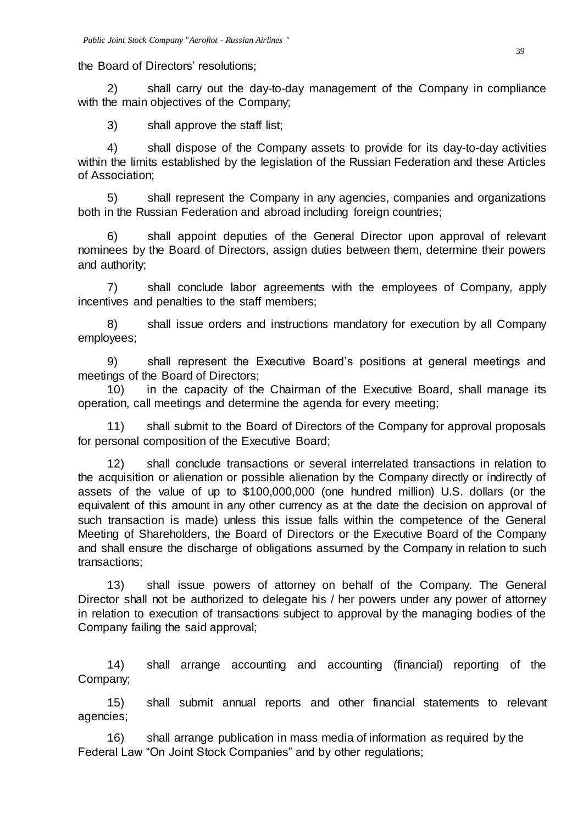#### the Board of Directors' resolutions;

2) shall carry out the day-to-day management of the Company in compliance with the main objectives of the Company;

3) shall approve the staff list;

4) shall dispose of the Company assets to provide for its day-to-day activities within the limits established by the legislation of the Russian Federation and these Articles of Association;

5) shall represent the Company in any agencies, companies and organizations both in the Russian Federation and abroad including foreign countries;

6) shall appoint deputies of the General Director upon approval of relevant nominees by the Board of Directors, assign duties between them, determine their powers and authority;

7) shall conclude labor agreements with the employees of Company, apply incentives and penalties to the staff members;

8) shall issue orders and instructions mandatory for execution by all Company employees;

9) shall represent the Executive Board's positions at general meetings and meetings of the Board of Directors;

10) in the capacity of the Chairman of the Executive Board, shall manage its operation, call meetings and determine the agenda for every meeting;

11) shall submit to the Board of Directors of the Company for approval proposals for personal composition of the Executive Board;

12) shall conclude transactions or several interrelated transactions in relation to the acquisition or alienation or possible alienation by the Company directly or indirectly of assets of the value of up to \$100,000,000 (one hundred million) U.S. dollars (or the equivalent of this amount in any other currency as at the date the decision on approval of such transaction is made) unless this issue falls within the competence of the General Meeting of Shareholders, the Board of Directors or the Executive Board of the Company and shall ensure the discharge of obligations assumed by the Company in relation to such transactions;

13) shall issue powers of attorney on behalf of the Company. The General Director shall not be authorized to delegate his / her powers under any power of attorney in relation to execution of transactions subject to approval by the managing bodies of the Company failing the said approval;

14) shall arrange accounting and accounting (financial) reporting of the Company;

15) shall submit annual reports and other financial statements to relevant agencies;

16) shall arrange publication in mass media of information as required by the Federal Law "On Joint Stock Companies" and by other regulations;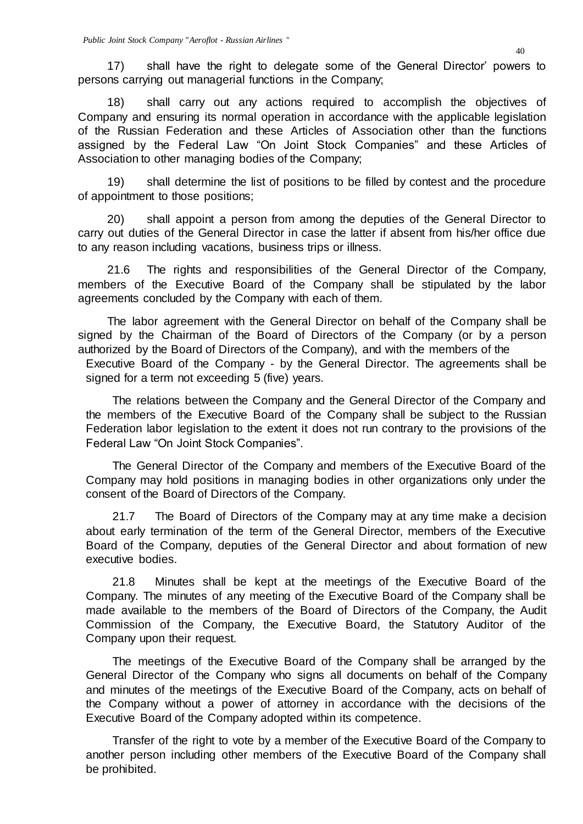17) shall have the right to delegate some of the General Director' powers to persons carrying out managerial functions in the Company;

18) shall carry out any actions required to accomplish the objectives of Company and ensuring its normal operation in accordance with the applicable legislation of the Russian Federation and these Articles of Association other than the functions assigned by the Federal Law "On Joint Stock Companies" and these Articles of Association to other managing bodies of the Company;

19) shall determine the list of positions to be filled by contest and the procedure of appointment to those positions;

20) shall appoint a person from among the deputies of the General Director to carry out duties of the General Director in case the latter if absent from his/her office due to any reason including vacations, business trips or illness.

21.6 The rights and responsibilities of the General Director of the Company, members of the Executive Board of the Company shall be stipulated by the labor agreements concluded by the Company with each of them.

The labor agreement with the General Director on behalf of the Company shall be signed by the Chairman of the Board of Directors of the Company (or by a person authorized by the Board of Directors of the Company), and with the members of the Executive Board of the Company - by the General Director. The agreements shall be

signed for a term not exceeding 5 (five) years.

The relations between the Company and the General Director of the Company and the members of the Executive Board of the Company shall be subject to the Russian Federation labor legislation to the extent it does not run contrary to the provisions of the Federal Law "On Joint Stock Companies".

The General Director of the Company and members of the Executive Board of the Company may hold positions in managing bodies in other organizations only under the consent of the Board of Directors of the Company.

21.7 The Board of Directors of the Company may at any time make a decision about early termination of the term of the General Director, members of the Executive Board of the Company, deputies of the General Director and about formation of new executive bodies.

21.8 Minutes shall be kept at the meetings of the Executive Board of the Company. The minutes of any meeting of the Executive Board of the Company shall be made available to the members of the Board of Directors of the Company, the Audit Commission of the Company, the Executive Board, the Statutory Auditor of the Company upon their request.

The meetings of the Executive Board of the Company shall be arranged by the General Director of the Company who signs all documents on behalf of the Company and minutes of the meetings of the Executive Board of the Company, acts on behalf of the Company without a power of attorney in accordance with the decisions of the Executive Board of the Company adopted within its competence.

Transfer of the right to vote by a member of the Executive Board of the Company to another person including other members of the Executive Board of the Company shall be prohibited.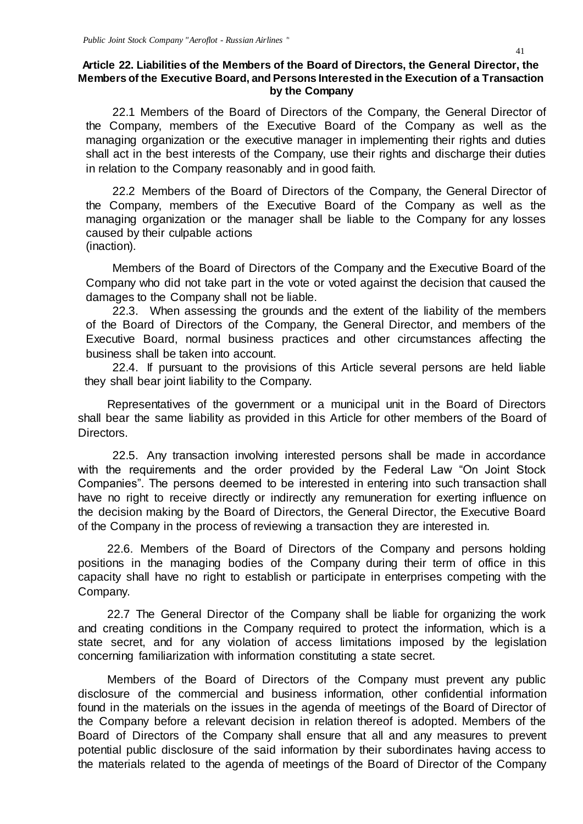## **Article 22. Liabilities of the Members of the Board of Directors, the General Director, the Members of the Executive Board, and Persons Interested in the Execution of a Transaction by the Company**

22.1 Members of the Board of Directors of the Company, the General Director of the Company, members of the Executive Board of the Company as well as the managing organization or the executive manager in implementing their rights and duties shall act in the best interests of the Company, use their rights and discharge their duties in relation to the Company reasonably and in good faith.

22.2 Members of the Board of Directors of the Company, the General Director of the Company, members of the Executive Board of the Company as well as the managing organization or the manager shall be liable to the Company for any losses caused by their culpable actions (inaction).

Members of the Board of Directors of the Company and the Executive Board of the Company who did not take part in the vote or voted against the decision that caused the damages to the Company shall not be liable.

22.3. When assessing the grounds and the extent of the liability of the members of the Board of Directors of the Company, the General Director, and members of the Executive Board, normal business practices and other circumstances affecting the business shall be taken into account.

22.4. If pursuant to the provisions of this Article several persons are held liable they shall bear joint liability to the Company.

Representatives of the government or a municipal unit in the Board of Directors shall bear the same liability as provided in this Article for other members of the Board of Directors.

22.5. Any transaction involving interested persons shall be made in accordance with the requirements and the order provided by the Federal Law "On Joint Stock Companies". The persons deemed to be interested in entering into such transaction shall have no right to receive directly or indirectly any remuneration for exerting influence on the decision making by the Board of Directors, the General Director, the Executive Board of the Company in the process of reviewing a transaction they are interested in.

22.6. Members of the Board of Directors of the Company and persons holding positions in the managing bodies of the Company during their term of office in this capacity shall have no right to establish or participate in enterprises competing with the Company.

22.7 The General Director of the Company shall be liable for organizing the work and creating conditions in the Company required to protect the information, which is a state secret, and for any violation of access limitations imposed by the legislation concerning familiarization with information constituting a state secret.

Members of the Board of Directors of the Company must prevent any public disclosure of the commercial and business information, other confidential information found in the materials on the issues in the agenda of meetings of the Board of Director of the Company before a relevant decision in relation thereof is adopted. Members of the Board of Directors of the Company shall ensure that all and any measures to prevent potential public disclosure of the said information by their subordinates having access to the materials related to the agenda of meetings of the Board of Director of the Company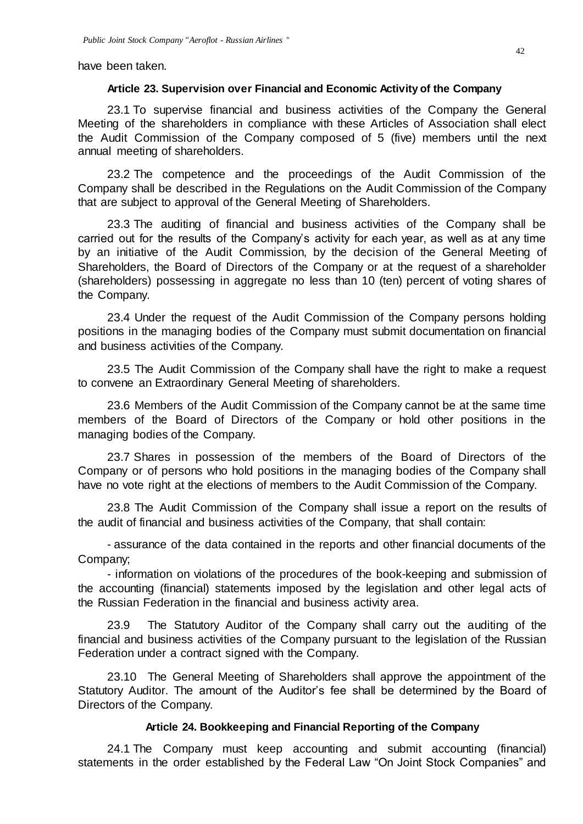have been taken.

#### **Article 23. Supervision over Financial and Economic Activity of the Company**

23.1 To supervise financial and business activities of the Company the General Meeting of the shareholders in compliance with these Articles of Association shall elect the Audit Commission of the Company composed of 5 (five) members until the next annual meeting of shareholders.

23.2 The competence and the proceedings of the Audit Commission of the Company shall be described in the Regulations on the Audit Commission of the Company that are subject to approval of the General Meeting of Shareholders.

23.3 The auditing of financial and business activities of the Company shall be carried out for the results of the Company's activity for each year, as well as at any time by an initiative of the Audit Commission, by the decision of the General Meeting of Shareholders, the Board of Directors of the Company or at the request of a shareholder (shareholders) possessing in aggregate no less than 10 (ten) percent of voting shares of the Company.

23.4 Under the request of the Audit Commission of the Company persons holding positions in the managing bodies of the Company must submit documentation on financial and business activities of the Company.

23.5 The Audit Commission of the Company shall have the right to make a request to convene an Extraordinary General Meeting of shareholders.

23.6 Members of the Audit Commission of the Company cannot be at the same time members of the Board of Directors of the Company or hold other positions in the managing bodies of the Company.

23.7 Shares in possession of the members of the Board of Directors of the Company or of persons who hold positions in the managing bodies of the Company shall have no vote right at the elections of members to the Audit Commission of the Company.

23.8 The Audit Commission of the Company shall issue a report on the results of the audit of financial and business activities of the Company, that shall contain:

- assurance of the data contained in the reports and other financial documents of the Company;

- information on violations of the procedures of the book-keeping and submission of the accounting (financial) statements imposed by the legislation and other legal acts of the Russian Federation in the financial and business activity area.

23.9 The Statutory Auditor of the Company shall carry out the auditing of the financial and business activities of the Company pursuant to the legislation of the Russian Federation under a contract signed with the Company.

23.10 The General Meeting of Shareholders shall approve the appointment of the Statutory Auditor. The amount of the Auditor's fee shall be determined by the Board of Directors of the Company.

#### **Article 24. Bookkeeping and Financial Reporting of the Company**

24.1 The Company must keep accounting and submit accounting (financial) statements in the order established by the Federal Law "On Joint Stock Companies" and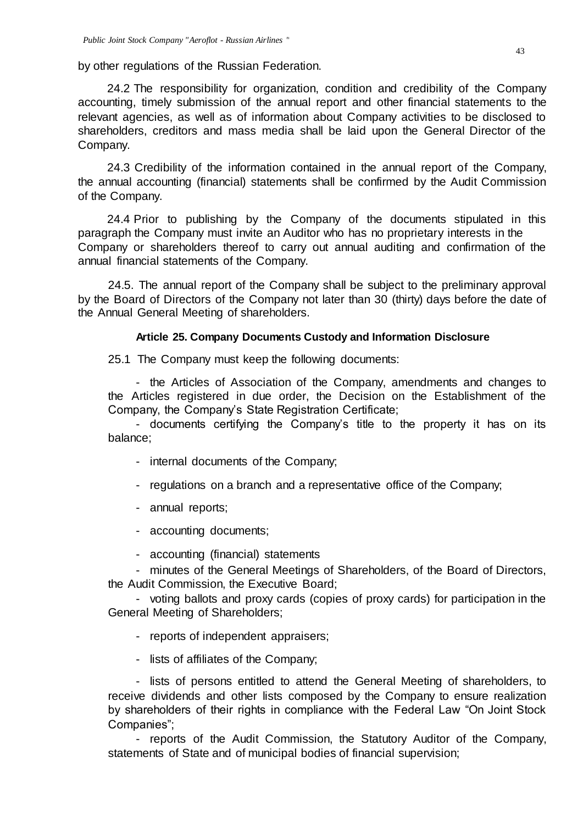by other regulations of the Russian Federation.

24.2 The responsibility for organization, condition and credibility of the Company accounting, timely submission of the annual report and other financial statements to the relevant agencies, as well as of information about Company activities to be disclosed to shareholders, creditors and mass media shall be laid upon the General Director of the Company.

24.3 Credibility of the information contained in the annual report of the Company, the annual accounting (financial) statements shall be confirmed by the Audit Commission of the Company.

24.4 Prior to publishing by the Company of the documents stipulated in this paragraph the Company must invite an Auditor who has no proprietary interests in the Company or shareholders thereof to carry out annual auditing and confirmation of the annual financial statements of the Company.

24.5. The annual report of the Company shall be subject to the preliminary approval by the Board of Directors of the Company not later than 30 (thirty) days before the date of the Annual General Meeting of shareholders.

#### **Article 25. Company Documents Custody and Information Disclosure**

25.1 The Company must keep the following documents:

- the Articles of Association of the Company, amendments and changes to the Articles registered in due order, the Decision on the Establishment of the Company, the Company's State Registration Certificate;

- documents certifying the Company's title to the property it has on its balance;

- internal documents of the Company;
- regulations on a branch and a representative office of the Company;
- annual reports;
- accounting documents;
- accounting (financial) statements

- minutes of the General Meetings of Shareholders, of the Board of Directors, the Audit Commission, the Executive Board;

- voting ballots and proxy cards (copies of proxy cards) for participation in the General Meeting of Shareholders;

- reports of independent appraisers;
- lists of affiliates of the Company;

- lists of persons entitled to attend the General Meeting of shareholders, to receive dividends and other lists composed by the Company to ensure realization by shareholders of their rights in compliance with the Federal Law "On Joint Stock Companies";

- reports of the Audit Commission, the Statutory Auditor of the Company, statements of State and of municipal bodies of financial supervision;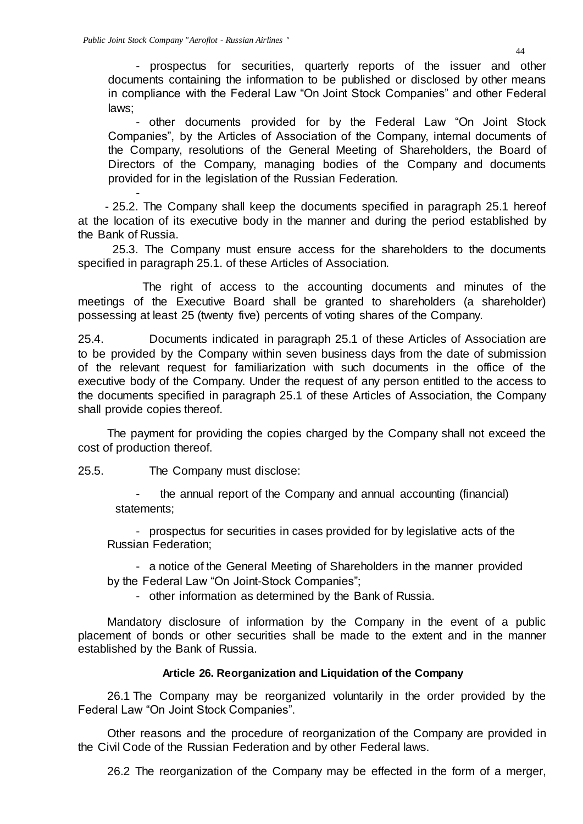- prospectus for securities, quarterly reports of the issuer and other documents containing the information to be published or disclosed by other means in compliance with the Federal Law "On Joint Stock Companies" and other Federal laws;

- other documents provided for by the Federal Law "On Joint Stock Companies", by the Articles of Association of the Company, internal documents of the Company, resolutions of the General Meeting of Shareholders, the Board of Directors of the Company, managing bodies of the Company and documents provided for in the legislation of the Russian Federation.

- - 25.2. The Company shall keep the documents specified in paragraph 25.1 hereof at the location of its executive body in the manner and during the period established by the Bank of Russia.

25.3. The Company must ensure access for the shareholders to the documents specified in paragraph 25.1. of these Articles of Association.

The right of access to the accounting documents and minutes of the meetings of the Executive Board shall be granted to shareholders (a shareholder) possessing at least 25 (twenty five) percents of voting shares of the Company.

25.4. Documents indicated in paragraph 25.1 of these Articles of Association are to be provided by the Company within seven business days from the date of submission of the relevant request for familiarization with such documents in the office of the executive body of the Company. Under the request of any person entitled to the access to the documents specified in paragraph 25.1 of these Articles of Association, the Company shall provide copies thereof.

The payment for providing the copies charged by the Company shall not exceed the cost of production thereof.

25.5. The Company must disclose:

the annual report of the Company and annual accounting (financial) statements;

- prospectus for securities in cases provided for by legislative acts of the Russian Federation;

- a notice of the General Meeting of Shareholders in the manner provided

by the Federal Law "On Joint-Stock Companies";

- other information as determined by the Bank of Russia.

Mandatory disclosure of information by the Company in the event of a public placement of bonds or other securities shall be made to the extent and in the manner established by the Bank of Russia.

## **Article 26. Reorganization and Liquidation of the Company**

26.1 The Company may be reorganized voluntarily in the order provided by the Federal Law "On Joint Stock Companies".

Other reasons and the procedure of reorganization of the Company are provided in the Civil Code of the Russian Federation and by other Federal laws.

26.2 The reorganization of the Company may be effected in the form of a merger,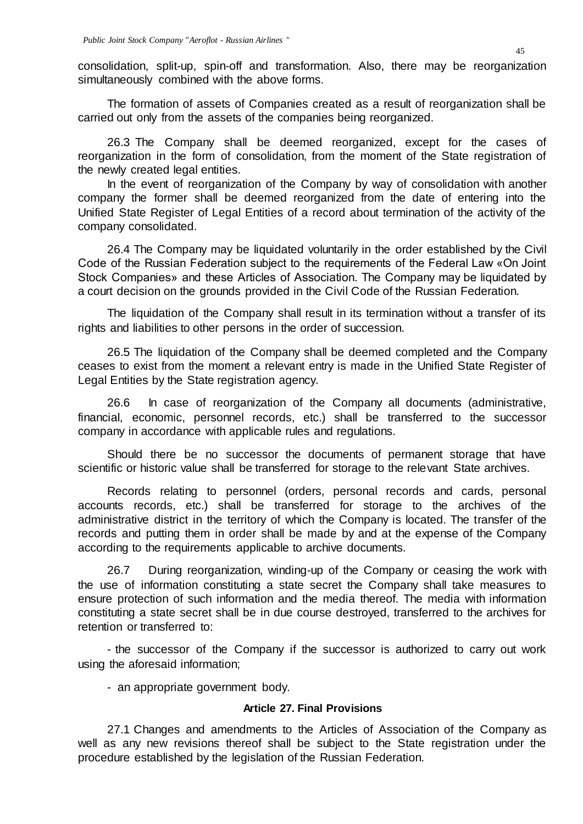consolidation, split-up, spin-off and transformation. Also, there may be reorganization simultaneously combined with the above forms.

The formation of assets of Companies created as a result of reorganization shall be carried out only from the assets of the companies being reorganized.

26.3 The Company shall be deemed reorganized, except for the cases of reorganization in the form of consolidation, from the moment of the State registration of the newly created legal entities.

In the event of reorganization of the Company by way of consolidation with another company the former shall be deemed reorganized from the date of entering into the Unified State Register of Legal Entities of a record about termination of the activity of the company consolidated.

26.4 The Company may be liquidated voluntarily in the order established by the Civil Code of the Russian Federation subject to the requirements of the Federal Law «On Joint Stock Companies» and these Articles of Association. The Company may be liquidated by a court decision on the grounds provided in the Civil Code of the Russian Federation.

The liquidation of the Company shall result in its termination without a transfer of its rights and liabilities to other persons in the order of succession.

26.5 The liquidation of the Company shall be deemed completed and the Company ceases to exist from the moment a relevant entry is made in the Unified State Register of Legal Entities by the State registration agency.

26.6 In case of reorganization of the Company all documents (administrative, financial, economic, personnel records, etc.) shall be transferred to the successor company in accordance with applicable rules and regulations.

Should there be no successor the documents of permanent storage that have scientific or historic value shall be transferred for storage to the relevant State archives.

Records relating to personnel (orders, personal records and cards, personal accounts records, etc.) shall be transferred for storage to the archives of the administrative district in the territory of which the Company is located. The transfer of the records and putting them in order shall be made by and at the expense of the Company according to the requirements applicable to archive documents.

26.7 During reorganization, winding-up of the Company or ceasing the work with the use of information constituting a state secret the Company shall take measures to ensure protection of such information and the media thereof. The media with information constituting a state secret shall be in due course destroyed, transferred to the archives for retention or transferred to:

- the successor of the Company if the successor is authorized to carry out work using the aforesaid information;

- an appropriate government body.

## **Article 27. Final Provisions**

27.1 Changes and amendments to the Articles of Association of the Company as well as any new revisions thereof shall be subject to the State registration under the procedure established by the legislation of the Russian Federation.